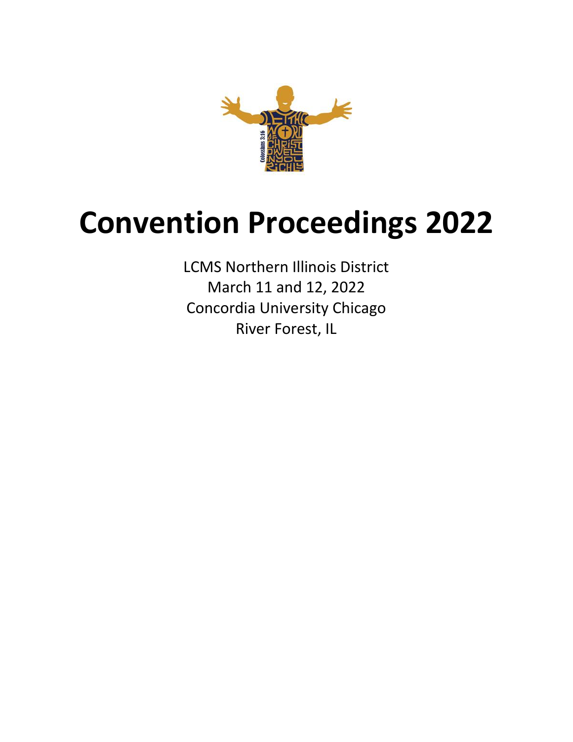

# **Convention Proceedings 2022**

LCMS Northern Illinois District March 11 and 12, 2022 Concordia University Chicago River Forest, IL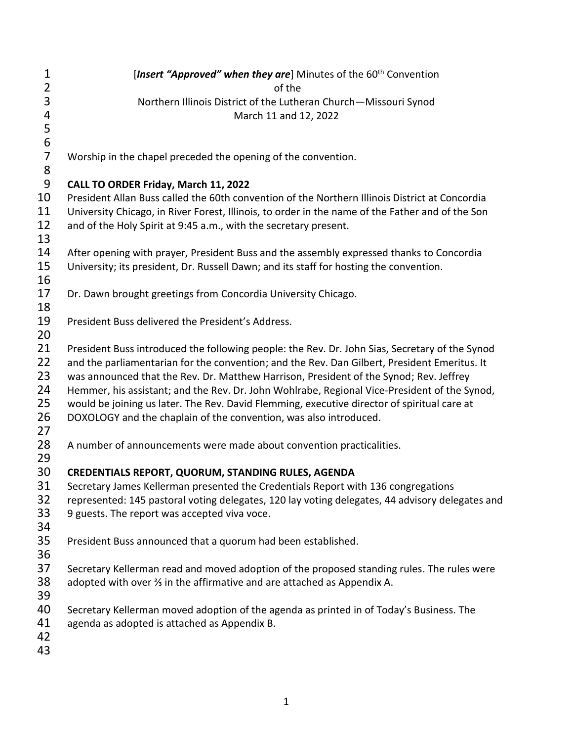| $\mathbf 1$             | [Insert "Approved" when they are] Minutes of the 60 <sup>th</sup> Convention                     |
|-------------------------|--------------------------------------------------------------------------------------------------|
| $\overline{2}$          | of the                                                                                           |
| 3                       | Northern Illinois District of the Lutheran Church-Missouri Synod                                 |
| $\overline{\mathbf{r}}$ | March 11 and 12, 2022                                                                            |
| $\frac{5}{6}$           |                                                                                                  |
|                         |                                                                                                  |
| $\overline{7}$          | Worship in the chapel preceded the opening of the convention.                                    |
| 8                       |                                                                                                  |
| 9                       | CALL TO ORDER Friday, March 11, 2022                                                             |
| 10                      | President Allan Buss called the 60th convention of the Northern Illinois District at Concordia   |
| 11                      | University Chicago, in River Forest, Illinois, to order in the name of the Father and of the Son |
| 12                      | and of the Holy Spirit at 9:45 a.m., with the secretary present.                                 |
| 13                      |                                                                                                  |
| 14                      | After opening with prayer, President Buss and the assembly expressed thanks to Concordia         |
| 15                      | University; its president, Dr. Russell Dawn; and its staff for hosting the convention.           |
| 16                      |                                                                                                  |
| 17                      | Dr. Dawn brought greetings from Concordia University Chicago.                                    |
| 18                      |                                                                                                  |
| 19                      | President Buss delivered the President's Address.                                                |
| 20                      |                                                                                                  |
| 21                      | President Buss introduced the following people: the Rev. Dr. John Sias, Secretary of the Synod   |
| 22                      | and the parliamentarian for the convention; and the Rev. Dan Gilbert, President Emeritus. It     |
| 23                      | was announced that the Rev. Dr. Matthew Harrison, President of the Synod; Rev. Jeffrey           |
| 24                      | Hemmer, his assistant; and the Rev. Dr. John Wohlrabe, Regional Vice-President of the Synod,     |
| 25                      | would be joining us later. The Rev. David Flemming, executive director of spiritual care at      |
| 26                      | DOXOLOGY and the chaplain of the convention, was also introduced.                                |
| 27                      |                                                                                                  |
| 28                      | A number of announcements were made about convention practicalities.                             |
| 29                      |                                                                                                  |
| 30                      | CREDENTIALS REPORT, QUORUM, STANDING RULES, AGENDA                                               |
| 31                      | Secretary James Kellerman presented the Credentials Report with 136 congregations                |
| 32                      | represented: 145 pastoral voting delegates, 120 lay voting delegates, 44 advisory delegates and  |
| 33                      | 9 guests. The report was accepted viva voce.                                                     |
| 34                      |                                                                                                  |
| 35                      | President Buss announced that a quorum had been established.                                     |
| 36                      |                                                                                                  |
| 37                      | Secretary Kellerman read and moved adoption of the proposed standing rules. The rules were       |
| 38                      | adopted with over % in the affirmative and are attached as Appendix A.                           |
| 39                      |                                                                                                  |
| 40                      | Secretary Kellerman moved adoption of the agenda as printed in of Today's Business. The          |
| 41                      | agenda as adopted is attached as Appendix B.                                                     |
| 42                      |                                                                                                  |
| 43                      |                                                                                                  |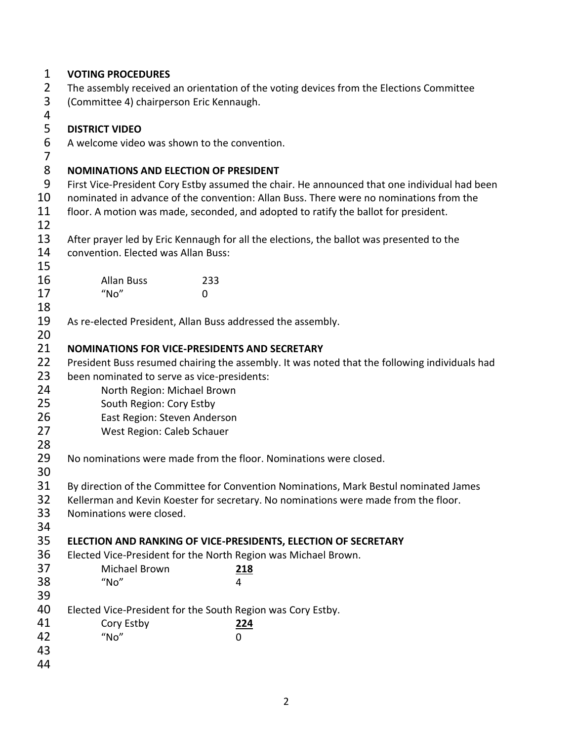| $\mathbf{1}$        | <b>VOTING PROCEDURES</b>                                                                |                                                                                               |  |  |  |
|---------------------|-----------------------------------------------------------------------------------------|-----------------------------------------------------------------------------------------------|--|--|--|
| $\overline{2}$      | The assembly received an orientation of the voting devices from the Elections Committee |                                                                                               |  |  |  |
| 3                   | (Committee 4) chairperson Eric Kennaugh.                                                |                                                                                               |  |  |  |
| 4                   |                                                                                         |                                                                                               |  |  |  |
| 5                   | <b>DISTRICT VIDEO</b>                                                                   |                                                                                               |  |  |  |
| 6<br>$\overline{7}$ | A welcome video was shown to the convention.                                            |                                                                                               |  |  |  |
| 8                   | <b>NOMINATIONS AND ELECTION OF PRESIDENT</b>                                            |                                                                                               |  |  |  |
| 9                   |                                                                                         | First Vice-President Cory Estby assumed the chair. He announced that one individual had been  |  |  |  |
| 10                  |                                                                                         | nominated in advance of the convention: Allan Buss. There were no nominations from the        |  |  |  |
| 11                  |                                                                                         | floor. A motion was made, seconded, and adopted to ratify the ballot for president.           |  |  |  |
| 12                  |                                                                                         |                                                                                               |  |  |  |
| 13                  |                                                                                         | After prayer led by Eric Kennaugh for all the elections, the ballot was presented to the      |  |  |  |
| 14                  | convention. Elected was Allan Buss:                                                     |                                                                                               |  |  |  |
| 15                  |                                                                                         |                                                                                               |  |  |  |
| 16                  | <b>Allan Buss</b>                                                                       | 233                                                                                           |  |  |  |
| 17                  | "No"<br>0                                                                               |                                                                                               |  |  |  |
| 18                  |                                                                                         |                                                                                               |  |  |  |
| 19                  | As re-elected President, Allan Buss addressed the assembly.                             |                                                                                               |  |  |  |
| 20                  |                                                                                         |                                                                                               |  |  |  |
| 21                  | <b>NOMINATIONS FOR VICE-PRESIDENTS AND SECRETARY</b>                                    |                                                                                               |  |  |  |
| 22                  |                                                                                         | President Buss resumed chairing the assembly. It was noted that the following individuals had |  |  |  |
| 23                  | been nominated to serve as vice-presidents:                                             |                                                                                               |  |  |  |
| 24                  | North Region: Michael Brown                                                             |                                                                                               |  |  |  |
| 25                  | South Region: Cory Estby                                                                |                                                                                               |  |  |  |
| 26                  | East Region: Steven Anderson                                                            |                                                                                               |  |  |  |
| 27<br>28            | West Region: Caleb Schauer                                                              |                                                                                               |  |  |  |
| 29<br>30            |                                                                                         | No nominations were made from the floor. Nominations were closed.                             |  |  |  |
| 31                  |                                                                                         | By direction of the Committee for Convention Nominations, Mark Bestul nominated James         |  |  |  |
| 32                  |                                                                                         | Kellerman and Kevin Koester for secretary. No nominations were made from the floor.           |  |  |  |
| 33                  | Nominations were closed.                                                                |                                                                                               |  |  |  |
| 34                  |                                                                                         |                                                                                               |  |  |  |
| 35                  |                                                                                         | ELECTION AND RANKING OF VICE-PRESIDENTS, ELECTION OF SECRETARY                                |  |  |  |
| 36                  |                                                                                         | Elected Vice-President for the North Region was Michael Brown.                                |  |  |  |
| 37                  | Michael Brown                                                                           | 218                                                                                           |  |  |  |
| 38                  | "No"                                                                                    | 4                                                                                             |  |  |  |
| 39                  |                                                                                         |                                                                                               |  |  |  |
| 40                  | Elected Vice-President for the South Region was Cory Estby.                             |                                                                                               |  |  |  |
| 41                  | Cory Estby                                                                              | 224                                                                                           |  |  |  |
| 42                  | "No"                                                                                    | 0                                                                                             |  |  |  |
| 43                  |                                                                                         |                                                                                               |  |  |  |
| 44                  |                                                                                         |                                                                                               |  |  |  |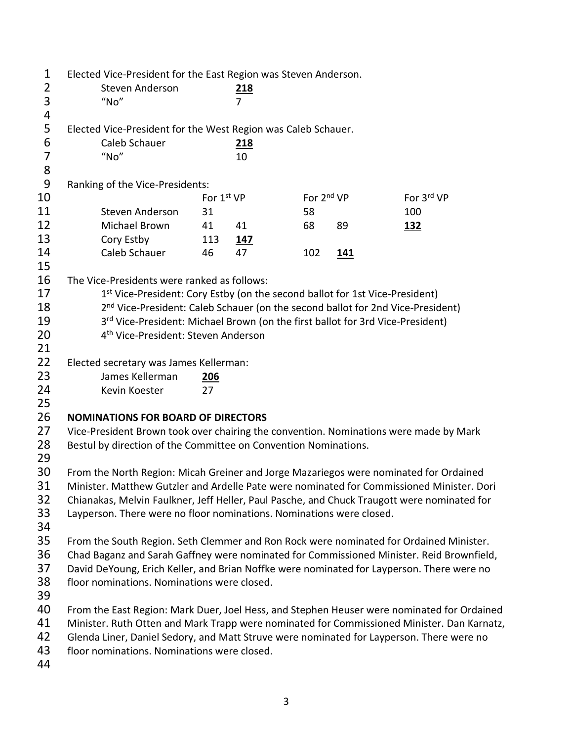| $\mathbf{1}$   | Elected Vice-President for the East Region was Steven Anderson.                             |             |                |                        |            |                                                                                            |
|----------------|---------------------------------------------------------------------------------------------|-------------|----------------|------------------------|------------|--------------------------------------------------------------------------------------------|
| $\overline{2}$ | Steven Anderson                                                                             | <u> 218</u> |                |                        |            |                                                                                            |
| 3              | "No"                                                                                        |             | $\overline{7}$ |                        |            |                                                                                            |
| 4              |                                                                                             |             |                |                        |            |                                                                                            |
| 5              | Elected Vice-President for the West Region was Caleb Schauer.                               |             |                |                        |            |                                                                                            |
| 6              | Caleb Schauer                                                                               |             | 218            |                        |            |                                                                                            |
| $\overline{7}$ | "No"                                                                                        |             | 10             |                        |            |                                                                                            |
| 8              |                                                                                             |             |                |                        |            |                                                                                            |
| 9              | Ranking of the Vice-Presidents:                                                             |             |                |                        |            |                                                                                            |
| 10             |                                                                                             | For 1st VP  |                | For 2 <sup>nd</sup> VP |            | For 3rd VP                                                                                 |
| 11             | Steven Anderson                                                                             | 31          |                | 58                     |            | 100                                                                                        |
| 12             | Michael Brown                                                                               | 41          | 41             | 68                     | 89         | <u>132</u>                                                                                 |
| 13             | Cory Estby                                                                                  | 113         | <u> 147</u>    |                        |            |                                                                                            |
| 14             | Caleb Schauer                                                                               | 46          | 47             | 102                    | <u>141</u> |                                                                                            |
| 15             |                                                                                             |             |                |                        |            |                                                                                            |
| 16             | The Vice-Presidents were ranked as follows:                                                 |             |                |                        |            |                                                                                            |
| 17             | 1st Vice-President: Cory Estby (on the second ballot for 1st Vice-President)                |             |                |                        |            |                                                                                            |
| 18             | 2 <sup>nd</sup> Vice-President: Caleb Schauer (on the second ballot for 2nd Vice-President) |             |                |                        |            |                                                                                            |
| 19             | 3rd Vice-President: Michael Brown (on the first ballot for 3rd Vice-President)              |             |                |                        |            |                                                                                            |
| 20             | 4 <sup>th</sup> Vice-President: Steven Anderson                                             |             |                |                        |            |                                                                                            |
| 21             |                                                                                             |             |                |                        |            |                                                                                            |
| 22             | Elected secretary was James Kellerman:                                                      |             |                |                        |            |                                                                                            |
| 23             | James Kellerman                                                                             | <u>206</u>  |                |                        |            |                                                                                            |
| 24             | Kevin Koester                                                                               | 27          |                |                        |            |                                                                                            |
| 25             |                                                                                             |             |                |                        |            |                                                                                            |
| 26             | <b>NOMINATIONS FOR BOARD OF DIRECTORS</b>                                                   |             |                |                        |            |                                                                                            |
| 27             | Vice-President Brown took over chairing the convention. Nominations were made by Mark       |             |                |                        |            |                                                                                            |
| 28             |                                                                                             |             |                |                        |            |                                                                                            |
| 29             | Bestul by direction of the Committee on Convention Nominations.                             |             |                |                        |            |                                                                                            |
| 30             | From the North Region: Micah Greiner and Jorge Mazariegos were nominated for Ordained       |             |                |                        |            |                                                                                            |
| 31             | Minister. Matthew Gutzler and Ardelle Pate were nominated for Commissioned Minister. Dori   |             |                |                        |            |                                                                                            |
| 32             | Chianakas, Melvin Faulkner, Jeff Heller, Paul Pasche, and Chuck Traugott were nominated for |             |                |                        |            |                                                                                            |
| 33             | Layperson. There were no floor nominations. Nominations were closed.                        |             |                |                        |            |                                                                                            |
| 34             |                                                                                             |             |                |                        |            |                                                                                            |
| 35             | From the South Region. Seth Clemmer and Ron Rock were nominated for Ordained Minister.      |             |                |                        |            |                                                                                            |
| 36             | Chad Baganz and Sarah Gaffney were nominated for Commissioned Minister. Reid Brownfield,    |             |                |                        |            |                                                                                            |
| 37             | David DeYoung, Erich Keller, and Brian Noffke were nominated for Layperson. There were no   |             |                |                        |            |                                                                                            |
| 38             | floor nominations. Nominations were closed.                                                 |             |                |                        |            |                                                                                            |
| 39             |                                                                                             |             |                |                        |            |                                                                                            |
| 40             | From the East Region: Mark Duer, Joel Hess, and Stephen Heuser were nominated for Ordained  |             |                |                        |            |                                                                                            |
| 41             |                                                                                             |             |                |                        |            | Minister. Ruth Otten and Mark Trapp were nominated for Commissioned Minister. Dan Karnatz, |
| 42             | Glenda Liner, Daniel Sedory, and Matt Struve were nominated for Layperson. There were no    |             |                |                        |            |                                                                                            |
| 43             | floor nominations. Nominations were closed.                                                 |             |                |                        |            |                                                                                            |
| 44             |                                                                                             |             |                |                        |            |                                                                                            |
|                |                                                                                             |             |                |                        |            |                                                                                            |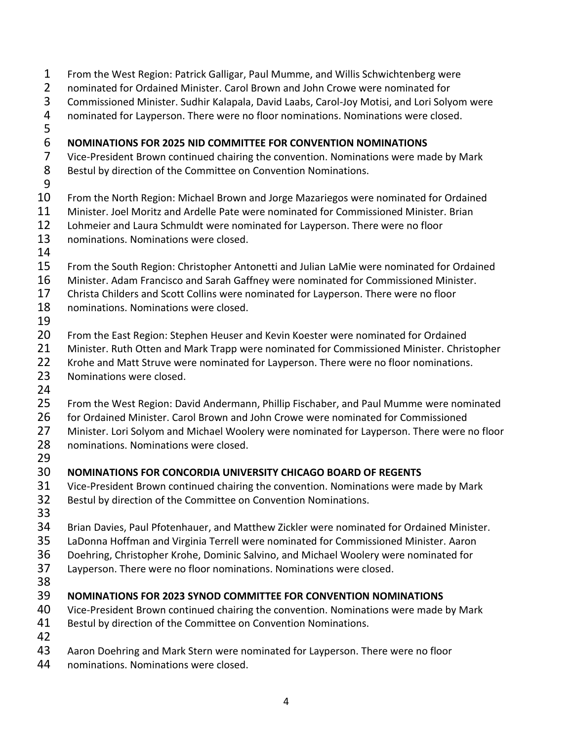From the West Region: Patrick Galligar, Paul Mumme, and Willis Schwichtenberg were nominated for Ordained Minister. Carol Brown and John Crowe were nominated for Commissioned Minister. Sudhir Kalapala, David Laabs, Carol-Joy Motisi, and Lori Solyom were nominated for Layperson. There were no floor nominations. Nominations were closed. **NOMINATIONS FOR 2025 NID COMMITTEE FOR CONVENTION NOMINATIONS** Vice-President Brown continued chairing the convention. Nominations were made by Mark Bestul by direction of the Committee on Convention Nominations. From the North Region: Michael Brown and Jorge Mazariegos were nominated for Ordained Minister. Joel Moritz and Ardelle Pate were nominated for Commissioned Minister. Brian Lohmeier and Laura Schmuldt were nominated for Layperson. There were no floor nominations. Nominations were closed. From the South Region: Christopher Antonetti and Julian LaMie were nominated for Ordained Minister. Adam Francisco and Sarah Gaffney were nominated for Commissioned Minister. Christa Childers and Scott Collins were nominated for Layperson. There were no floor nominations. Nominations were closed. From the East Region: Stephen Heuser and Kevin Koester were nominated for Ordained 21 Minister. Ruth Otten and Mark Trapp were nominated for Commissioned Minister. Christopher Krohe and Matt Struve were nominated for Layperson. There were no floor nominations. Nominations were closed. From the West Region: David Andermann, Phillip Fischaber, and Paul Mumme were nominated for Ordained Minister. Carol Brown and John Crowe were nominated for Commissioned Minister. Lori Solyom and Michael Woolery were nominated for Layperson. There were no floor 28 nominations. Nominations were closed. **NOMINATIONS FOR CONCORDIA UNIVERSITY CHICAGO BOARD OF REGENTS** Vice-President Brown continued chairing the convention. Nominations were made by Mark Bestul by direction of the Committee on Convention Nominations. Brian Davies, Paul Pfotenhauer, and Matthew Zickler were nominated for Ordained Minister. LaDonna Hoffman and Virginia Terrell were nominated for Commissioned Minister. Aaron Doehring, Christopher Krohe, Dominic Salvino, and Michael Woolery were nominated for Layperson. There were no floor nominations. Nominations were closed. **NOMINATIONS FOR 2023 SYNOD COMMITTEE FOR CONVENTION NOMINATIONS** Vice-President Brown continued chairing the convention. Nominations were made by Mark Bestul by direction of the Committee on Convention Nominations. Aaron Doehring and Mark Stern were nominated for Layperson. There were no floor nominations. Nominations were closed.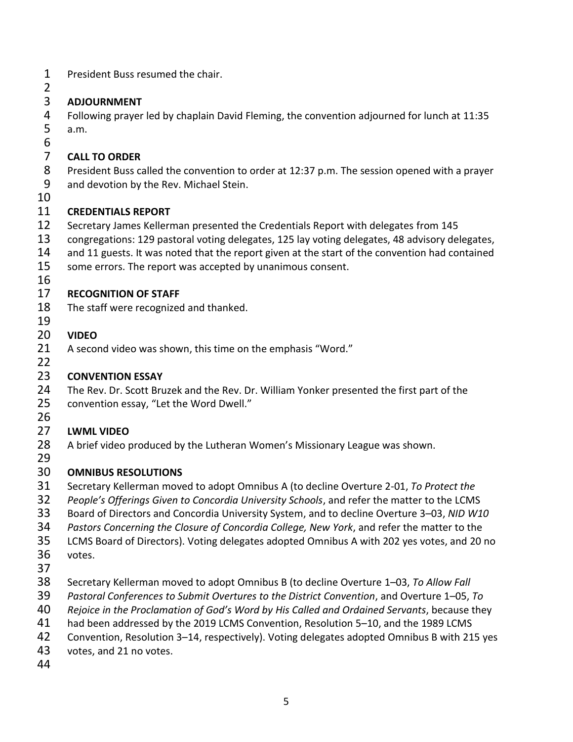- President Buss resumed the chair.
- 

# **ADJOURNMENT**

 Following prayer led by chaplain David Fleming, the convention adjourned for lunch at 11:35 a.m.

#### 6<br>7 **CALL TO ORDER**

 President Buss called the convention to order at 12:37 p.m. The session opened with a prayer and devotion by the Rev. Michael Stein.

#### **CREDENTIALS REPORT**

- Secretary James Kellerman presented the Credentials Report with delegates from 145
- congregations: 129 pastoral voting delegates, 125 lay voting delegates, 48 advisory delegates,
- 14 and 11 guests. It was noted that the report given at the start of the convention had contained
- some errors. The report was accepted by unanimous consent.
- 

# **RECOGNITION OF STAFF**

The staff were recognized and thanked.

#### **VIDEO**

- A second video was shown, this time on the emphasis "Word."
- 

## **CONVENTION ESSAY**

 The Rev. Dr. Scott Bruzek and the Rev. Dr. William Yonker presented the first part of the convention essay, "Let the Word Dwell."

# **LWML VIDEO**

A brief video produced by the Lutheran Women's Missionary League was shown.

#### **OMNIBUS RESOLUTIONS**

- Secretary Kellerman moved to adopt Omnibus A (to decline Overture 2-01, *To Protect the*
- *People's Offerings Given to Concordia University Schools*, and refer the matter to the LCMS
- Board of Directors and Concordia University System, and to decline Overture 3–03, *NID W10*
- *Pastors Concerning the Closure of Concordia College, New York*, and refer the matter to the
- LCMS Board of Directors). Voting delegates adopted Omnibus A with 202 yes votes, and 20 no
- votes.
- 
- Secretary Kellerman moved to adopt Omnibus B (to decline Overture 1–03, *To Allow Fall*
- *Pastoral Conferences to Submit Overtures to the District Convention*, and Overture 1–05, *To*
- *Rejoice in the Proclamation of God's Word by His Called and Ordained Servants*, because they
- had been addressed by the 2019 LCMS Convention, Resolution 5–10, and the 1989 LCMS
- Convention, Resolution 3–14, respectively). Voting delegates adopted Omnibus B with 215 yes
- votes, and 21 no votes.
-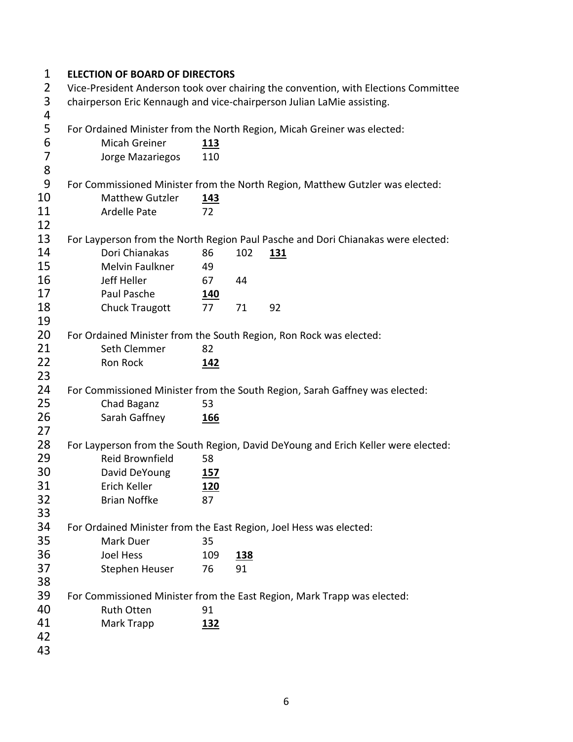#### **ELECTION OF BOARD OF DIRECTORS**

 Vice-President Anderson took over chairing the convention, with Elections Committee chairperson Eric Kennaugh and vice-chairperson Julian LaMie assisting.

 For Ordained Minister from the North Region, Micah Greiner was elected: Micah Greiner **113** Jorge Mazariegos 110 For Commissioned Minister from the North Region, Matthew Gutzler was elected: Matthew Gutzler **143** 11 Ardelle Pate 72 For Layperson from the North Region Paul Pasche and Dori Chianakas were elected: Dori Chianakas 86 102 **131** Melvin Faulkner 49 Jeff Heller 67 44 Paul Pasche **140** 18 Chuck Traugott 77 71 92 For Ordained Minister from the South Region, Ron Rock was elected: 21 Seth Clemmer 82 Ron Rock **142** For Commissioned Minister from the South Region, Sarah Gaffney was elected: 25 Chad Baganz 53 Sarah Gaffney **166** For Layperson from the South Region, David DeYoung and Erich Keller were elected: Reid Brownfield 58 David DeYoung **157** Erich Keller **120** Brian Noffke 87 For Ordained Minister from the East Region, Joel Hess was elected: Mark Duer 35 Joel Hess 109 **138** Stephen Heuser 76 91 For Commissioned Minister from the East Region, Mark Trapp was elected: Ruth Otten 91 Mark Trapp **132**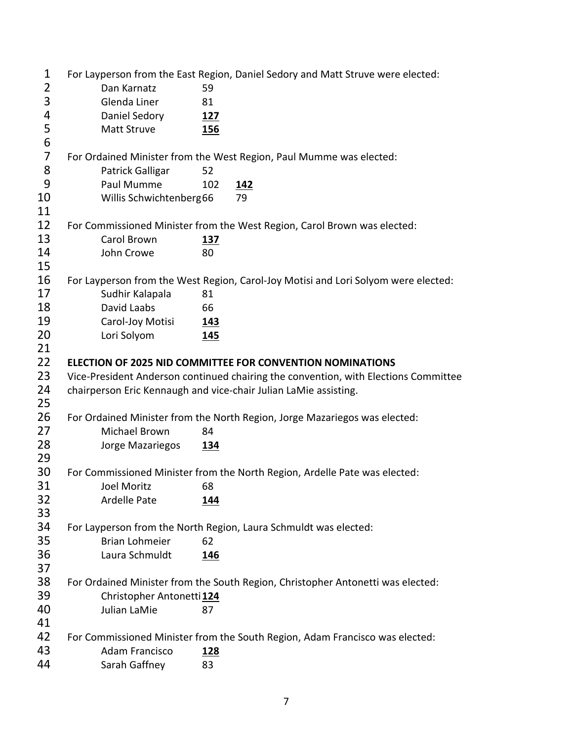| 1              |                           | For Layperson from the East Region, Daniel Sedory and Matt Struve were elected:     |
|----------------|---------------------------|-------------------------------------------------------------------------------------|
| $\overline{2}$ | Dan Karnatz               | 59                                                                                  |
| 3              | Glenda Liner              | 81                                                                                  |
| 4              | Daniel Sedory             | 127                                                                                 |
| 5              | Matt Struve               | <b>156</b>                                                                          |
| 6              |                           |                                                                                     |
| $\overline{7}$ |                           | For Ordained Minister from the West Region, Paul Mumme was elected:                 |
| 8              | Patrick Galligar          | 52                                                                                  |
| 9              | Paul Mumme                | 102<br><u>142</u>                                                                   |
| 10             | Willis Schwichtenberg66   | 79                                                                                  |
| 11             |                           |                                                                                     |
| 12             |                           | For Commissioned Minister from the West Region, Carol Brown was elected:            |
| 13             | Carol Brown               | <u>137</u>                                                                          |
| 14             | John Crowe                | 80                                                                                  |
| 15             |                           |                                                                                     |
| 16             |                           | For Layperson from the West Region, Carol-Joy Motisi and Lori Solyom were elected:  |
| 17             | Sudhir Kalapala           | 81                                                                                  |
| 18             | David Laabs               | 66                                                                                  |
| 19             | Carol-Joy Motisi          | <u>143</u>                                                                          |
| 20             | Lori Solyom               | <b>145</b>                                                                          |
| 21             |                           |                                                                                     |
| 22             |                           | <b>ELECTION OF 2025 NID COMMITTEE FOR CONVENTION NOMINATIONS</b>                    |
| 23             |                           | Vice-President Anderson continued chairing the convention, with Elections Committee |
| 24             |                           | chairperson Eric Kennaugh and vice-chair Julian LaMie assisting.                    |
| 25             |                           |                                                                                     |
| 26             |                           | For Ordained Minister from the North Region, Jorge Mazariegos was elected:          |
| 27             | Michael Brown             | 84                                                                                  |
| 28             | Jorge Mazariegos          | <u> 134</u>                                                                         |
| 29             |                           |                                                                                     |
| 30             |                           | For Commissioned Minister from the North Region, Ardelle Pate was elected:          |
| 31             | <b>Joel Moritz</b>        | 68                                                                                  |
| 32             | Ardelle Pate              | 144                                                                                 |
| 33             |                           |                                                                                     |
| 34             |                           | For Layperson from the North Region, Laura Schmuldt was elected:                    |
| 35             | <b>Brian Lohmeier</b>     | 62                                                                                  |
| 36             | Laura Schmuldt            | <u>146</u>                                                                          |
| 37             |                           |                                                                                     |
| 38             |                           | For Ordained Minister from the South Region, Christopher Antonetti was elected:     |
| 39             | Christopher Antonetti 124 |                                                                                     |
| 40             | Julian LaMie              | 87                                                                                  |
| 41             |                           |                                                                                     |
|                |                           |                                                                                     |
| 42             |                           | For Commissioned Minister from the South Region, Adam Francisco was elected:        |
| 43             | Adam Francisco            | <u>128</u>                                                                          |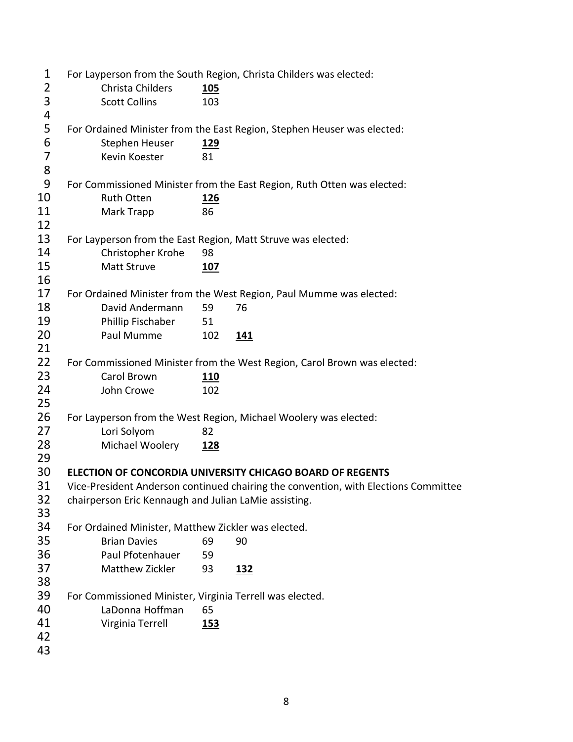| $\mathbf 1$             |                                                              |            | For Layperson from the South Region, Christa Childers was elected:                  |
|-------------------------|--------------------------------------------------------------|------------|-------------------------------------------------------------------------------------|
| $\overline{2}$          | Christa Childers                                             | 105        |                                                                                     |
| 3                       | <b>Scott Collins</b>                                         | 103        |                                                                                     |
| $\overline{\mathbf{r}}$ |                                                              |            |                                                                                     |
| 5                       |                                                              |            | For Ordained Minister from the East Region, Stephen Heuser was elected:             |
| 6                       | Stephen Heuser                                               | <u>129</u> |                                                                                     |
| $\overline{7}$          | Kevin Koester                                                | 81         |                                                                                     |
| 8                       |                                                              |            |                                                                                     |
| 9                       |                                                              |            | For Commissioned Minister from the East Region, Ruth Otten was elected:             |
| 10                      | <b>Ruth Otten</b>                                            | <u>126</u> |                                                                                     |
| 11                      | Mark Trapp                                                   | 86         |                                                                                     |
| 12                      |                                                              |            |                                                                                     |
| 13                      | For Layperson from the East Region, Matt Struve was elected: |            |                                                                                     |
| 14                      | Christopher Krohe                                            | 98         |                                                                                     |
| 15                      | Matt Struve                                                  | 107        |                                                                                     |
| 16                      |                                                              |            |                                                                                     |
| 17                      |                                                              |            | For Ordained Minister from the West Region, Paul Mumme was elected:                 |
| 18                      | David Andermann                                              | 59         | 76                                                                                  |
| 19                      | Phillip Fischaber                                            | 51         |                                                                                     |
| 20                      | Paul Mumme                                                   | 102        | <u>141</u>                                                                          |
| 21                      |                                                              |            |                                                                                     |
| 22                      |                                                              |            | For Commissioned Minister from the West Region, Carol Brown was elected:            |
| 23                      | Carol Brown                                                  | <u>110</u> |                                                                                     |
| 24                      | John Crowe                                                   | 102        |                                                                                     |
| 25                      |                                                              |            |                                                                                     |
| 26                      |                                                              |            | For Layperson from the West Region, Michael Woolery was elected:                    |
| 27                      | Lori Solyom                                                  | 82         |                                                                                     |
| 28                      | Michael Woolery                                              | <u>128</u> |                                                                                     |
| 29                      |                                                              |            |                                                                                     |
| 30                      |                                                              |            | ELECTION OF CONCORDIA UNIVERSITY CHICAGO BOARD OF REGENTS                           |
| 31                      |                                                              |            | Vice-President Anderson continued chairing the convention, with Elections Committee |
| 32                      | chairperson Eric Kennaugh and Julian LaMie assisting.        |            |                                                                                     |
| 33                      |                                                              |            |                                                                                     |
| 34                      | For Ordained Minister, Matthew Zickler was elected.          |            |                                                                                     |
| 35                      | <b>Brian Davies</b>                                          | 69         | 90                                                                                  |
| 36                      | Paul Pfotenhauer                                             | 59         |                                                                                     |
| 37                      | Matthew Zickler                                              | 93         | <u>132</u>                                                                          |
| 38                      |                                                              |            |                                                                                     |
| 39                      | For Commissioned Minister, Virginia Terrell was elected.     |            |                                                                                     |
| 40                      | LaDonna Hoffman                                              | 65         |                                                                                     |
| 41                      | Virginia Terrell                                             | <u>153</u> |                                                                                     |
| 42                      |                                                              |            |                                                                                     |
| 43                      |                                                              |            |                                                                                     |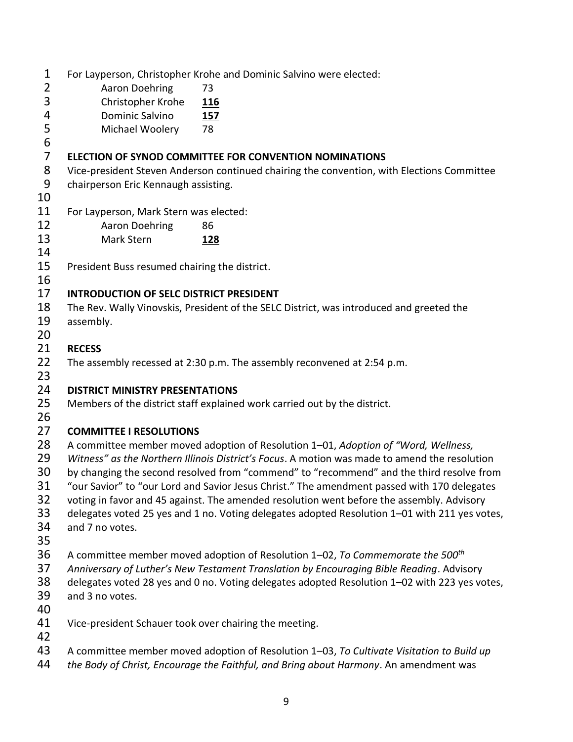| 1              |                                                                           | For Layperson, Christopher Krohe and Dominic Salvino were elected:                            |  |  |  |
|----------------|---------------------------------------------------------------------------|-----------------------------------------------------------------------------------------------|--|--|--|
| $\overline{2}$ | Aaron Doehring                                                            | 73                                                                                            |  |  |  |
| 3              | Christopher Krohe                                                         | <u>116</u>                                                                                    |  |  |  |
| 4              | Dominic Salvino                                                           | <u>157</u>                                                                                    |  |  |  |
| 5<br>6         | Michael Woolery                                                           | 78                                                                                            |  |  |  |
| $\overline{7}$ |                                                                           |                                                                                               |  |  |  |
| 8              |                                                                           | <b>ELECTION OF SYNOD COMMITTEE FOR CONVENTION NOMINATIONS</b>                                 |  |  |  |
| 9              |                                                                           | Vice-president Steven Anderson continued chairing the convention, with Elections Committee    |  |  |  |
| 10             | chairperson Eric Kennaugh assisting.                                      |                                                                                               |  |  |  |
| 11             | For Layperson, Mark Stern was elected:                                    |                                                                                               |  |  |  |
| 12             | <b>Aaron Doehring</b>                                                     | 86                                                                                            |  |  |  |
| 13             | Mark Stern                                                                | <u>128</u>                                                                                    |  |  |  |
| 14             |                                                                           |                                                                                               |  |  |  |
| 15             | President Buss resumed chairing the district.                             |                                                                                               |  |  |  |
| 16             |                                                                           |                                                                                               |  |  |  |
| 17             | <b>INTRODUCTION OF SELC DISTRICT PRESIDENT</b>                            |                                                                                               |  |  |  |
| 18             |                                                                           | The Rev. Wally Vinovskis, President of the SELC District, was introduced and greeted the      |  |  |  |
| 19             | assembly.                                                                 |                                                                                               |  |  |  |
| 20             |                                                                           |                                                                                               |  |  |  |
| 21             | <b>RECESS</b>                                                             |                                                                                               |  |  |  |
| 22             |                                                                           | The assembly recessed at 2:30 p.m. The assembly reconvened at 2:54 p.m.                       |  |  |  |
| 23             |                                                                           |                                                                                               |  |  |  |
| 24             | <b>DISTRICT MINISTRY PRESENTATIONS</b>                                    |                                                                                               |  |  |  |
| 25             | Members of the district staff explained work carried out by the district. |                                                                                               |  |  |  |
| 26             |                                                                           |                                                                                               |  |  |  |
| 27             | <b>COMMITTEE I RESOLUTIONS</b>                                            |                                                                                               |  |  |  |
| 28             |                                                                           | A committee member moved adoption of Resolution 1-01, Adoption of "Word, Wellness,            |  |  |  |
| 29             |                                                                           | Witness" as the Northern Illinois District's Focus. A motion was made to amend the resolution |  |  |  |
| 30             |                                                                           | by changing the second resolved from "commend" to "recommend" and the third resolve from      |  |  |  |
| 31             |                                                                           | "our Savior" to "our Lord and Savior Jesus Christ." The amendment passed with 170 delegates   |  |  |  |
| 32             |                                                                           | voting in favor and 45 against. The amended resolution went before the assembly. Advisory     |  |  |  |
| 33             |                                                                           | delegates voted 25 yes and 1 no. Voting delegates adopted Resolution 1-01 with 211 yes votes, |  |  |  |
| 34             | and 7 no votes.                                                           |                                                                                               |  |  |  |
| 35             |                                                                           |                                                                                               |  |  |  |
| 36             |                                                                           | A committee member moved adoption of Resolution 1–02, To Commemorate the 500 <sup>th</sup>    |  |  |  |
| 37             |                                                                           | Anniversary of Luther's New Testament Translation by Encouraging Bible Reading. Advisory      |  |  |  |
| 38             |                                                                           | delegates voted 28 yes and 0 no. Voting delegates adopted Resolution 1-02 with 223 yes votes, |  |  |  |
| 39             | and 3 no votes.                                                           |                                                                                               |  |  |  |
| 40             |                                                                           |                                                                                               |  |  |  |
| 41             | Vice-president Schauer took over chairing the meeting.                    |                                                                                               |  |  |  |
| 42             |                                                                           |                                                                                               |  |  |  |
| 43             |                                                                           | A committee member moved adoption of Resolution 1-03, To Cultivate Visitation to Build up     |  |  |  |
| 44             |                                                                           | the Body of Christ, Encourage the Faithful, and Bring about Harmony. An amendment was         |  |  |  |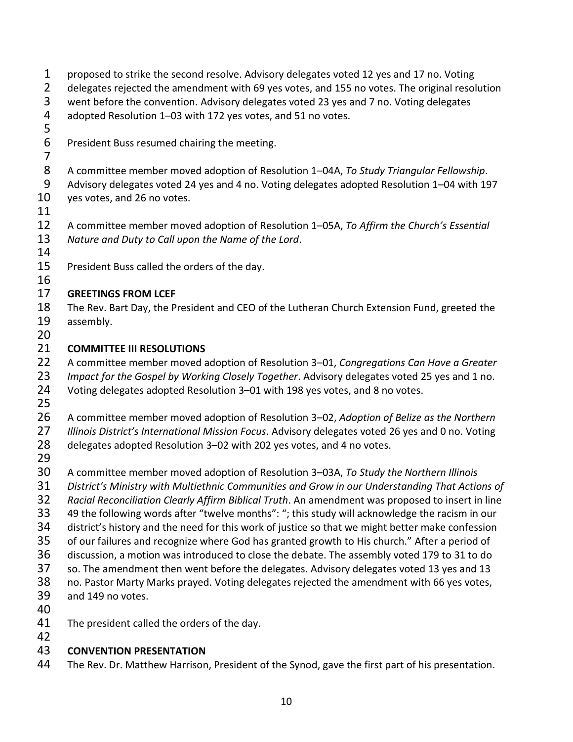| $\mathbf 1$<br>$\overline{2}$ | proposed to strike the second resolve. Advisory delegates voted 12 yes and 17 no. Voting<br>delegates rejected the amendment with 69 yes votes, and 155 no votes. The original resolution |
|-------------------------------|-------------------------------------------------------------------------------------------------------------------------------------------------------------------------------------------|
| 3                             | went before the convention. Advisory delegates voted 23 yes and 7 no. Voting delegates                                                                                                    |
| 4                             | adopted Resolution 1-03 with 172 yes votes, and 51 no votes.                                                                                                                              |
| 5                             |                                                                                                                                                                                           |
| 6                             | President Buss resumed chairing the meeting.                                                                                                                                              |
| $\overline{7}$                |                                                                                                                                                                                           |
| 8                             | A committee member moved adoption of Resolution 1-04A, To Study Triangular Fellowship.                                                                                                    |
| 9                             | Advisory delegates voted 24 yes and 4 no. Voting delegates adopted Resolution 1-04 with 197                                                                                               |
| 10                            | yes votes, and 26 no votes.                                                                                                                                                               |
| 11                            |                                                                                                                                                                                           |
| 12                            | A committee member moved adoption of Resolution 1-05A, To Affirm the Church's Essential                                                                                                   |
| 13                            | Nature and Duty to Call upon the Name of the Lord.                                                                                                                                        |
| 14                            |                                                                                                                                                                                           |
| 15                            | President Buss called the orders of the day.                                                                                                                                              |
| 16                            |                                                                                                                                                                                           |
| 17                            | <b>GREETINGS FROM LCEF</b>                                                                                                                                                                |
| 18                            | The Rev. Bart Day, the President and CEO of the Lutheran Church Extension Fund, greeted the                                                                                               |
| 19                            | assembly.                                                                                                                                                                                 |
| 20                            |                                                                                                                                                                                           |
| 21                            | <b>COMMITTEE III RESOLUTIONS</b>                                                                                                                                                          |
| 22                            | A committee member moved adoption of Resolution 3-01, Congregations Can Have a Greater                                                                                                    |
| 23                            | Impact for the Gospel by Working Closely Together. Advisory delegates voted 25 yes and 1 no.                                                                                              |
| 24                            | Voting delegates adopted Resolution 3-01 with 198 yes votes, and 8 no votes.                                                                                                              |
| 25                            |                                                                                                                                                                                           |
| 26                            | A committee member moved adoption of Resolution 3-02, Adoption of Belize as the Northern                                                                                                  |
| 27                            | Illinois District's International Mission Focus. Advisory delegates voted 26 yes and 0 no. Voting                                                                                         |
| 28                            | delegates adopted Resolution 3-02 with 202 yes votes, and 4 no votes.                                                                                                                     |
| 29                            |                                                                                                                                                                                           |
| 30                            | A committee member moved adoption of Resolution 3-03A, To Study the Northern Illinois                                                                                                     |
| 31                            | District's Ministry with Multiethnic Communities and Grow in our Understanding That Actions of                                                                                            |
| 32                            | Racial Reconciliation Clearly Affirm Biblical Truth. An amendment was proposed to insert in line                                                                                          |
| 33                            | 49 the following words after "twelve months": "; this study will acknowledge the racism in our                                                                                            |
| 34                            | district's history and the need for this work of justice so that we might better make confession                                                                                          |
| 35                            | of our failures and recognize where God has granted growth to His church." After a period of                                                                                              |
| 36                            | discussion, a motion was introduced to close the debate. The assembly voted 179 to 31 to do                                                                                               |
| 37                            | so. The amendment then went before the delegates. Advisory delegates voted 13 yes and 13                                                                                                  |
| 38                            | no. Pastor Marty Marks prayed. Voting delegates rejected the amendment with 66 yes votes,                                                                                                 |
| 39                            | and 149 no votes.                                                                                                                                                                         |
| 40                            |                                                                                                                                                                                           |
| 41                            | The president called the orders of the day.                                                                                                                                               |
| 42                            |                                                                                                                                                                                           |
| 43                            | <b>CONVENTION PRESENTATION</b>                                                                                                                                                            |
| $\Lambda$                     |                                                                                                                                                                                           |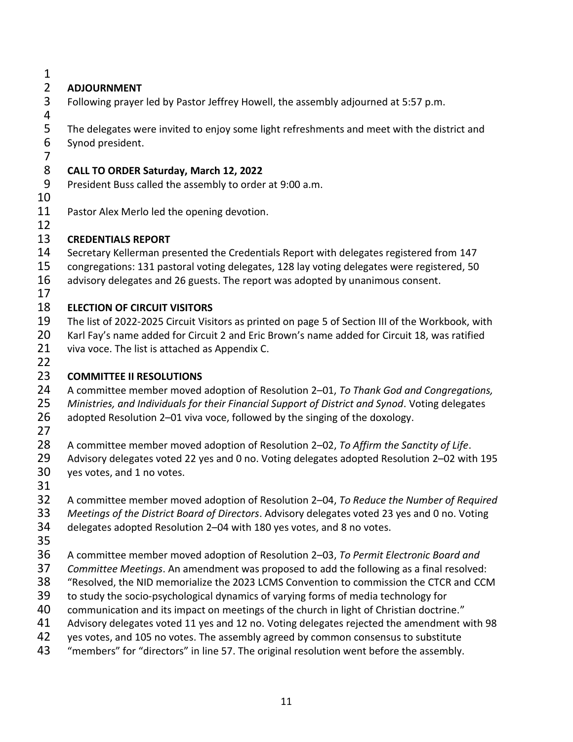## **ADJOURNMENT**

Following prayer led by Pastor Jeffrey Howell, the assembly adjourned at 5:57 p.m.

The delegates were invited to enjoy some light refreshments and meet with the district and

- Synod president.
- 

## **CALL TO ORDER Saturday, March 12, 2022**

President Buss called the assembly to order at 9:00 a.m.

- 
- 11 Pastor Alex Merlo led the opening devotion.

## **CREDENTIALS REPORT**

- Secretary Kellerman presented the Credentials Report with delegates registered from 147
- congregations: 131 pastoral voting delegates, 128 lay voting delegates were registered, 50
- 16 advisory delegates and 26 guests. The report was adopted by unanimous consent.
- 

## **ELECTION OF CIRCUIT VISITORS**

- The list of 2022-2025 Circuit Visitors as printed on page 5 of Section III of the Workbook, with
- Karl Fay's name added for Circuit 2 and Eric Brown's name added for Circuit 18, was ratified viva voce. The list is attached as Appendix C.
- 

# **COMMITTEE II RESOLUTIONS**

- A committee member moved adoption of Resolution 2–01, *To Thank God and Congregations,*
- *Ministries, and Individuals for their Financial Support of District and Synod*. Voting delegates
- adopted Resolution 2–01 viva voce, followed by the singing of the doxology.
- 
- A committee member moved adoption of Resolution 2–02, *To Affirm the Sanctity of Life*.
- Advisory delegates voted 22 yes and 0 no. Voting delegates adopted Resolution 2–02 with 195 yes votes, and 1 no votes.
- 
- A committee member moved adoption of Resolution 2–04, *To Reduce the Number of Required*
- *Meetings of the District Board of Directors*. Advisory delegates voted 23 yes and 0 no. Voting
- delegates adopted Resolution 2–04 with 180 yes votes, and 8 no votes.
- 
- A committee member moved adoption of Resolution 2–03, *To Permit Electronic Board and*
- *Committee Meetings*. An amendment was proposed to add the following as a final resolved:
- "Resolved, the NID memorialize the 2023 LCMS Convention to commission the CTCR and CCM
- to study the socio-psychological dynamics of varying forms of media technology for
- 40 communication and its impact on meetings of the church in light of Christian doctrine."
- 41 Advisory delegates voted 11 yes and 12 no. Voting delegates rejected the amendment with 98
- 42 yes votes, and 105 no votes. The assembly agreed by common consensus to substitute
- "members" for "directors" in line 57. The original resolution went before the assembly.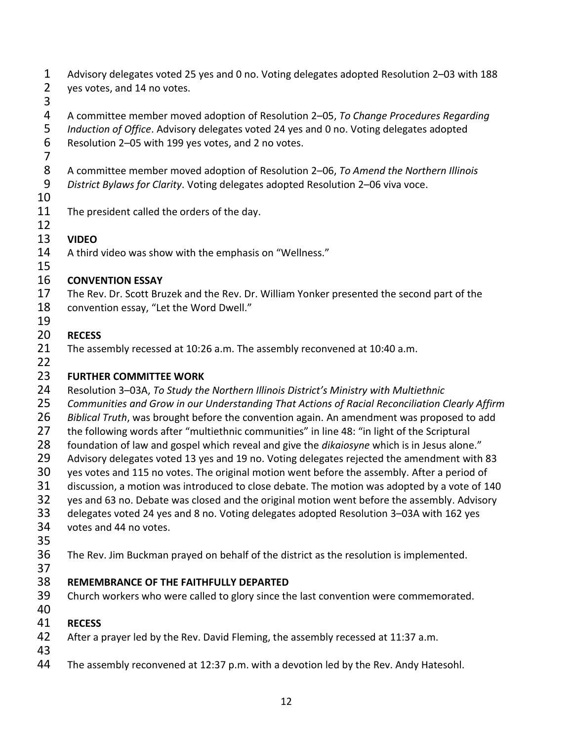- Advisory delegates voted 25 yes and 0 no. Voting delegates adopted Resolution 2–03 with 188 yes votes, and 14 no votes.
- 

A committee member moved adoption of Resolution 2–05, *To Change Procedures Regarding* 

 *Induction of Office*. Advisory delegates voted 24 yes and 0 no. Voting delegates adopted Resolution 2–05 with 199 yes votes, and 2 no votes.

 A committee member moved adoption of Resolution 2–06, *To Amend the Northern Illinois District Bylaws for Clarity*. Voting delegates adopted Resolution 2–06 viva voce.

The president called the orders of the day.

- 
- **VIDEO**

A third video was show with the emphasis on "Wellness."

# **CONVENTION ESSAY**

- The Rev. Dr. Scott Bruzek and the Rev. Dr. William Yonker presented the second part of the convention essay, "Let the Word Dwell."
- **RECESS**
- The assembly recessed at 10:26 a.m. The assembly reconvened at 10:40 a.m.
- 

## **FURTHER COMMITTEE WORK**

- Resolution 3–03A, *To Study the Northern Illinois District's Ministry with Multiethnic*
- *Communities and Grow in our Understanding That Actions of Racial Reconciliation Clearly Affirm*
- *Biblical Truth*, was brought before the convention again. An amendment was proposed to add
- 27 the following words after "multiethnic communities" in line 48: "in light of the Scriptural
- foundation of law and gospel which reveal and give the *dikaiosyne* which is in Jesus alone."
- Advisory delegates voted 13 yes and 19 no. Voting delegates rejected the amendment with 83
- yes votes and 115 no votes. The original motion went before the assembly. After a period of
- discussion, a motion was introduced to close debate. The motion was adopted by a vote of 140
- yes and 63 no. Debate was closed and the original motion went before the assembly. Advisory
- delegates voted 24 yes and 8 no. Voting delegates adopted Resolution 3–03A with 162 yes votes and 44 no votes.
- 
- The Rev. Jim Buckman prayed on behalf of the district as the resolution is implemented.
- 

# **REMEMBRANCE OF THE FAITHFULLY DEPARTED**

- Church workers who were called to glory since the last convention were commemorated.
- 

# **RECESS**

- After a prayer led by the Rev. David Fleming, the assembly recessed at 11:37 a.m.
- 
- The assembly reconvened at 12:37 p.m. with a devotion led by the Rev. Andy Hatesohl.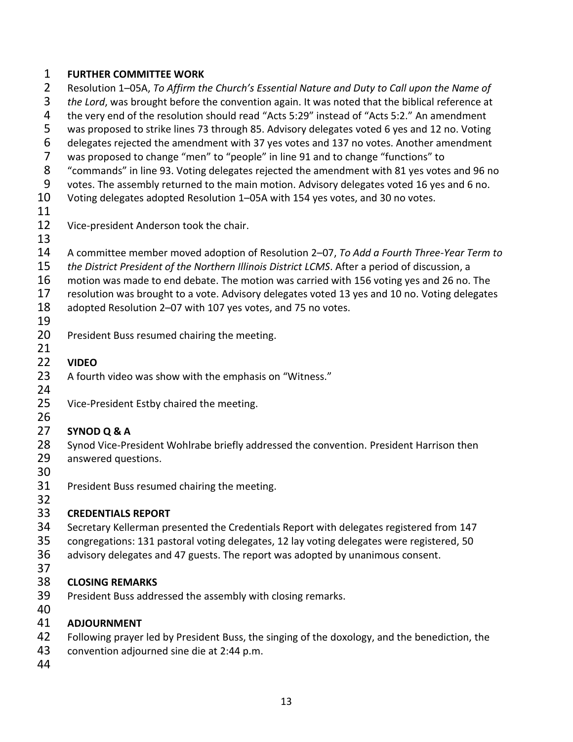#### **FURTHER COMMITTEE WORK**

 Resolution 1–05A, *To Affirm the Church's Essential Nature and Duty to Call upon the Name of the Lord*, was brought before the convention again. It was noted that the biblical reference at the very end of the resolution should read "Acts 5:29" instead of "Acts 5:2." An amendment was proposed to strike lines 73 through 85. Advisory delegates voted 6 yes and 12 no. Voting delegates rejected the amendment with 37 yes votes and 137 no votes. Another amendment was proposed to change "men" to "people" in line 91 and to change "functions" to "commands" in line 93. Voting delegates rejected the amendment with 81 yes votes and 96 no votes. The assembly returned to the main motion. Advisory delegates voted 16 yes and 6 no. Voting delegates adopted Resolution 1–05A with 154 yes votes, and 30 no votes. Vice-president Anderson took the chair. A committee member moved adoption of Resolution 2–07, *To Add a Fourth Three-Year Term to the District President of the Northern Illinois District LCMS*. After a period of discussion, a motion was made to end debate. The motion was carried with 156 voting yes and 26 no. The resolution was brought to a vote. Advisory delegates voted 13 yes and 10 no. Voting delegates adopted Resolution 2–07 with 107 yes votes, and 75 no votes. 20 President Buss resumed chairing the meeting. **VIDEO** 23 A fourth video was show with the emphasis on "Witness." Vice-President Estby chaired the meeting. **SYNOD Q & A** Synod Vice-President Wohlrabe briefly addressed the convention. President Harrison then answered questions. President Buss resumed chairing the meeting. **CREDENTIALS REPORT** Secretary Kellerman presented the Credentials Report with delegates registered from 147 congregations: 131 pastoral voting delegates, 12 lay voting delegates were registered, 50 advisory delegates and 47 guests. The report was adopted by unanimous consent. **CLOSING REMARKS** President Buss addressed the assembly with closing remarks. 

#### **ADJOURNMENT**

- 42 Following prayer led by President Buss, the singing of the doxology, and the benediction, the
- convention adjourned sine die at 2:44 p.m.
-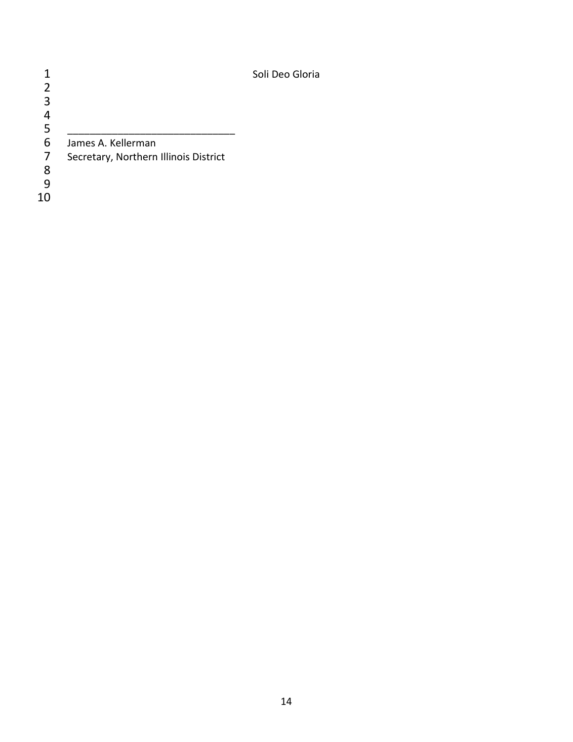|                |                                       | Soli Deo Gloria |
|----------------|---------------------------------------|-----------------|
| $\overline{2}$ |                                       |                 |
| 3              |                                       |                 |
|                |                                       |                 |
| 5              |                                       |                 |
| 6              | James A. Kellerman                    |                 |
| 7              | Secretary, Northern Illinois District |                 |
| 8              |                                       |                 |
| q              |                                       |                 |
| 10             |                                       |                 |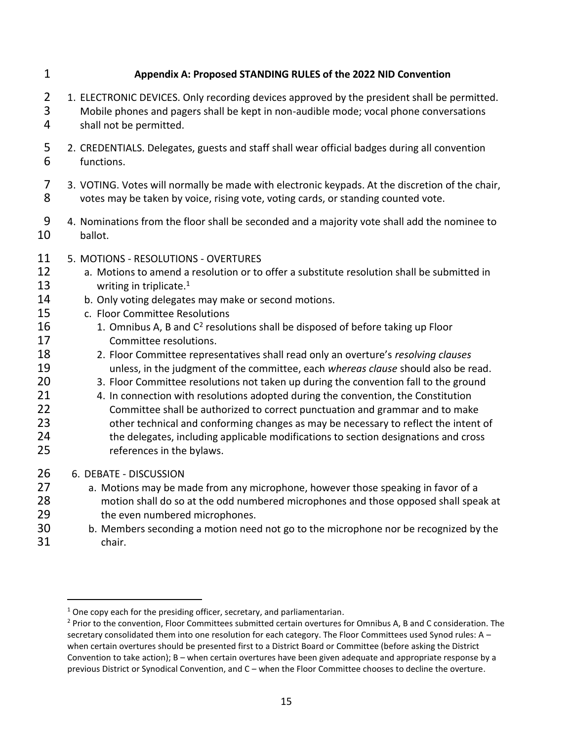#### **Appendix A: Proposed STANDING RULES of the 2022 NID Convention**

- 2 1. ELECTRONIC DEVICES. Only recording devices approved by the president shall be permitted. Mobile phones and pagers shall be kept in non-audible mode; vocal phone conversations shall not be permitted.
- 2. CREDENTIALS. Delegates, guests and staff shall wear official badges during all convention functions.
- 3. VOTING. Votes will normally be made with electronic keypads. At the discretion of the chair, votes may be taken by voice, rising vote, voting cards, or standing counted vote.
- 4. Nominations from the floor shall be seconded and a majority vote shall add the nominee to ballot.
- 5. MOTIONS RESOLUTIONS OVERTURES
- 12 a. Motions to amend a resolution or to offer a substitute resolution shall be submitted in 13 writing in triplicate.<sup>1</sup>
- 14 b. Only voting delegates may make or second motions.
- c. Floor Committee Resolutions
- 1. Omnibus A, B and  $C^2$  resolutions shall be disposed of before taking up Floor Committee resolutions.
- 2. Floor Committee representatives shall read only an overture's *resolving clauses* unless, in the judgment of the committee, each *whereas clause* should also be read.
- 20 3. Floor Committee resolutions not taken up during the convention fall to the ground
- 21 4. In connection with resolutions adopted during the convention, the Constitution Committee shall be authorized to correct punctuation and grammar and to make 23 other technical and conforming changes as may be necessary to reflect the intent of the delegates, including applicable modifications to section designations and cross references in the bylaws.
- 6. DEBATE DISCUSSION
- a. Motions may be made from any microphone, however those speaking in favor of a motion shall do so at the odd numbered microphones and those opposed shall speak at 29 the even numbered microphones.
- b. Members seconding a motion need not go to the microphone nor be recognized by the chair.

One copy each for the presiding officer, secretary, and parliamentarian.

<sup>&</sup>lt;sup>2</sup> Prior to the convention, Floor Committees submitted certain overtures for Omnibus A, B and C consideration. The secretary consolidated them into one resolution for each category. The Floor Committees used Synod rules: A – when certain overtures should be presented first to a District Board or Committee (before asking the District Convention to take action); B – when certain overtures have been given adequate and appropriate response by a previous District or Synodical Convention, and C – when the Floor Committee chooses to decline the overture.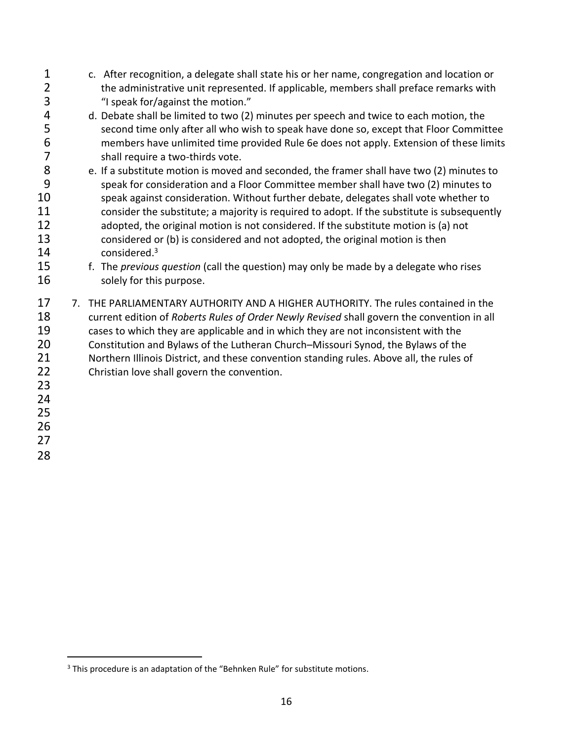c. After recognition, a delegate shall state his or her name, congregation and location or 2 the administrative unit represented. If applicable, members shall preface remarks with "I speak for/against the motion." d. Debate shall be limited to two (2) minutes per speech and twice to each motion, the second time only after all who wish to speak have done so, except that Floor Committee members have unlimited time provided Rule 6e does not apply. Extension of these limits 7 shall require a two-thirds vote.<br>8 e. If a substitute motion is moved e. If a substitute motion is moved and seconded, the framer shall have two (2) minutes to speak for consideration and a Floor Committee member shall have two (2) minutes to speak against consideration. Without further debate, delegates shall vote whether to 11 consider the substitute; a majority is required to adopt. If the substitute is subsequently adopted, the original motion is not considered. If the substitute motion is (a) not considered or (b) is considered and not adopted, the original motion is then 14 considered.<sup>3</sup> f. The *previous question* (call the question) may only be made by a delegate who rises 16 solely for this purpose. 17 7. THE PARLIAMENTARY AUTHORITY AND A HIGHER AUTHORITY. The rules contained in the current edition of *Roberts Rules of Order Newly Revised* shall govern the convention in all cases to which they are applicable and in which they are not inconsistent with the Constitution and Bylaws of the Lutheran Church–Missouri Synod, the Bylaws of the 21 Northern Illinois District, and these convention standing rules. Above all, the rules of 22 Christian love shall govern the convention. 

<sup>&</sup>lt;sup>3</sup> This procedure is an adaptation of the "Behnken Rule" for substitute motions.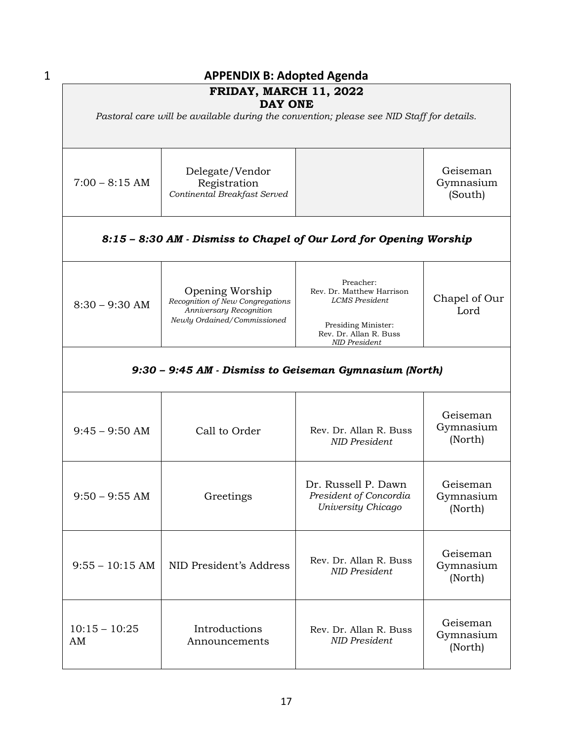|                                                        | <b>APPENDIX B: Adopted Agenda</b>                                                                             |                                                                                                                                   |                                  |  |  |  |
|--------------------------------------------------------|---------------------------------------------------------------------------------------------------------------|-----------------------------------------------------------------------------------------------------------------------------------|----------------------------------|--|--|--|
| <b>FRIDAY, MARCH 11, 2022</b><br><b>DAY ONE</b>        |                                                                                                               |                                                                                                                                   |                                  |  |  |  |
|                                                        | Pastoral care will be available during the convention; please see NID Staff for details.                      |                                                                                                                                   |                                  |  |  |  |
| $7:00 - 8:15$ AM                                       | Delegate/Vendor<br>Registration<br>Continental Breakfast Served                                               |                                                                                                                                   | Geiseman<br>Gymnasium<br>(South) |  |  |  |
|                                                        | 8:15 - 8:30 AM - Dismiss to Chapel of Our Lord for Opening Worship                                            |                                                                                                                                   |                                  |  |  |  |
| $8:30 - 9:30$ AM                                       | Opening Worship<br>Recognition of New Congregations<br>Anniversary Recognition<br>Newly Ordained/Commissioned | Preacher:<br>Rev. Dr. Matthew Harrison<br><b>LCMS</b> President<br>Presiding Minister:<br>Rev. Dr. Allan R. Buss<br>NID President | Chapel of Our<br>Lord            |  |  |  |
| 9:30 - 9:45 AM - Dismiss to Geiseman Gymnasium (North) |                                                                                                               |                                                                                                                                   |                                  |  |  |  |
| $9:45 - 9:50$ AM                                       | Call to Order                                                                                                 | Rev. Dr. Allan R. Buss<br><b>NID</b> President                                                                                    | Geiseman<br>Gymnasium<br>(North) |  |  |  |
| $9:50 - 9:55$ AM                                       | Greetings                                                                                                     | Dr. Russell P. Dawn<br>President of Concordia<br>University Chicago                                                               | Geiseman<br>Gymnasium<br>(North) |  |  |  |
| $9:55 - 10:15$ AM                                      | NID President's Address                                                                                       | Rev. Dr. Allan R. Buss<br><b>NID</b> President                                                                                    | Geiseman<br>Gymnasium<br>(North) |  |  |  |
| $10:15 - 10:25$<br>AM                                  | Introductions<br>Announcements                                                                                | Rev. Dr. Allan R. Buss<br><b>NID President</b>                                                                                    | Geiseman<br>Gymnasium<br>(North) |  |  |  |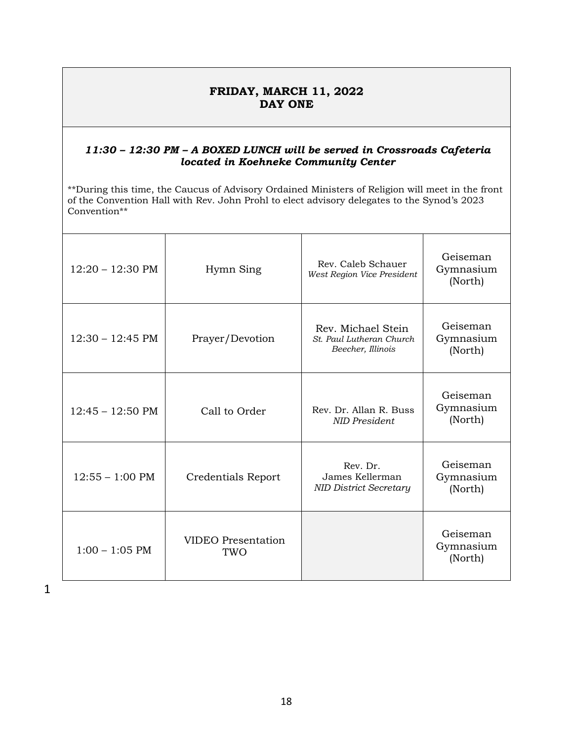#### **FRIDAY, MARCH 11, 2022 DAY ONE**

#### *11:30 – 12:30 PM – A BOXED LUNCH will be served in Crossroads Cafeteria located in Koehneke Community Center*

\*\*During this time, the Caucus of Advisory Ordained Ministers of Religion will meet in the front of the Convention Hall with Rev. John Prohl to elect advisory delegates to the Synod's 2023 Convention\*\*

| $12:20 - 12:30 \text{ PM}$ | Hymn Sing                        | Rev. Caleb Schauer<br>West Region Vice President                    | Geiseman<br>Gymnasium<br>(North) |
|----------------------------|----------------------------------|---------------------------------------------------------------------|----------------------------------|
| $12:30 - 12:45 \text{ PM}$ | Prayer/Devotion                  | Rev. Michael Stein<br>St. Paul Lutheran Church<br>Beecher, Illinois | Geiseman<br>Gymnasium<br>(North) |
| $12:45 - 12:50 \text{ PM}$ | Call to Order                    | Rev. Dr. Allan R. Buss<br>NID President                             | Geiseman<br>Gymnasium<br>(North) |
| $12:55 - 1:00 \text{ PM}$  | Credentials Report               | Rev. Dr.<br>James Kellerman<br><b>NID District Secretary</b>        | Geiseman<br>Gymnasium<br>(North) |
| $1:00 - 1:05$ PM           | <b>VIDEO</b> Presentation<br>TWO |                                                                     | Geiseman<br>Gymnasium<br>(North) |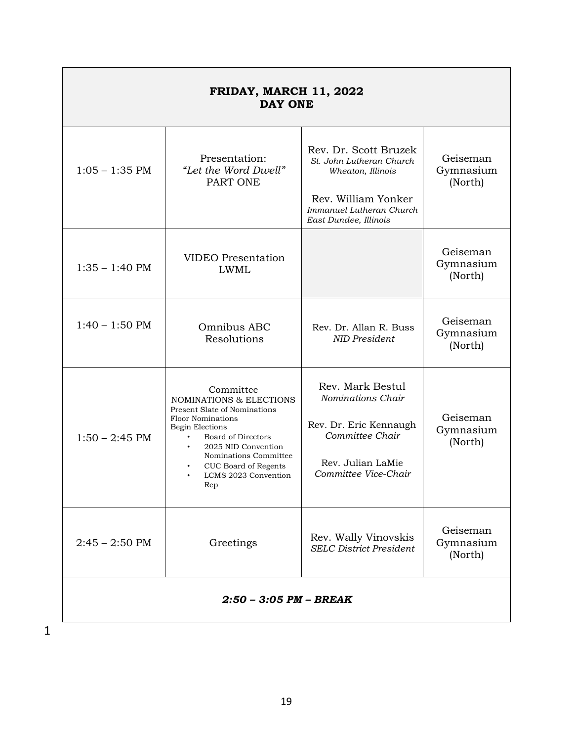| <b>FRIDAY, MARCH 11, 2022</b><br><b>DAY ONE</b> |                                                                                                                                                                                                                                                                                       |                                                                                                                                                    |                                  |  |  |
|-------------------------------------------------|---------------------------------------------------------------------------------------------------------------------------------------------------------------------------------------------------------------------------------------------------------------------------------------|----------------------------------------------------------------------------------------------------------------------------------------------------|----------------------------------|--|--|
| $1:05 - 1:35$ PM                                | Presentation:<br>"Let the Word Dwell"<br>PART ONE                                                                                                                                                                                                                                     | Rev. Dr. Scott Bruzek<br>St. John Lutheran Church<br>Wheaton, Illinois<br>Rev. William Yonker<br>Immanuel Lutheran Church<br>East Dundee, Illinois | Geiseman<br>Gymnasium<br>(North) |  |  |
| $1:35 - 1:40$ PM                                | <b>VIDEO</b> Presentation<br><b>LWML</b>                                                                                                                                                                                                                                              |                                                                                                                                                    | Geiseman<br>Gymnasium<br>(North) |  |  |
| $1:40 - 1:50$ PM                                | Omnibus ABC<br>Resolutions                                                                                                                                                                                                                                                            | Rev. Dr. Allan R. Buss<br><b>NID President</b>                                                                                                     | Geiseman<br>Gymnasium<br>(North) |  |  |
| $1:50 - 2:45$ PM                                | Committee<br><b>NOMINATIONS &amp; ELECTIONS</b><br>Present Slate of Nominations<br><b>Floor Nominations</b><br>Begin Elections<br>Board of Directors<br>$\bullet$<br>2025 NID Convention<br>$\bullet$<br>Nominations Committee<br>CUC Board of Regents<br>LCMS 2023 Convention<br>Rep | Rev. Mark Bestul<br>Nominations Chair<br>Rev. Dr. Eric Kennaugh<br>Committee Chair<br>Rev. Julian LaMie<br>Committee Vice-Chair                    | Geiseman<br>Gymnasium<br>(North) |  |  |
| $2:45 - 2:50$ PM                                | Greetings                                                                                                                                                                                                                                                                             | Rev. Wally Vinovskis<br><b>SELC District President</b>                                                                                             | Geiseman<br>Gymnasium<br>(North) |  |  |
| $2:50 - 3:05$ PM - BREAK                        |                                                                                                                                                                                                                                                                                       |                                                                                                                                                    |                                  |  |  |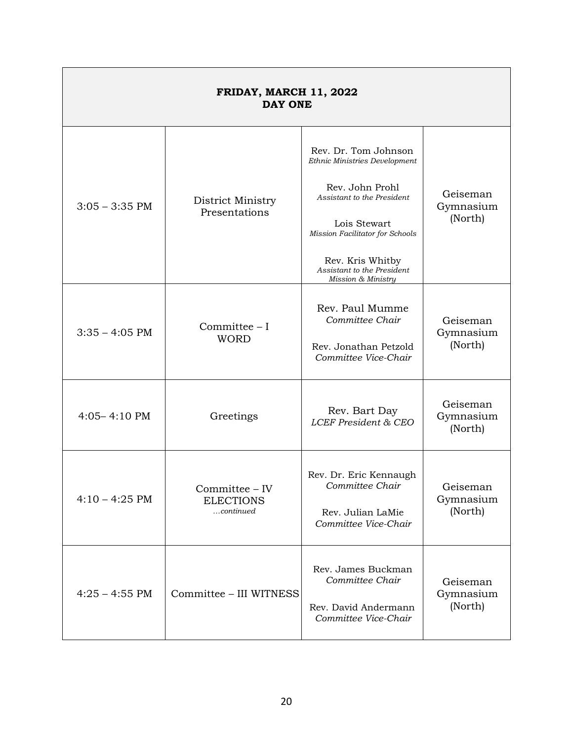| <b>FRIDAY, MARCH 11, 2022</b><br><b>DAY ONE</b>        |                                                    |                                                                                                                                                                                                                                   |                                  |  |  |
|--------------------------------------------------------|----------------------------------------------------|-----------------------------------------------------------------------------------------------------------------------------------------------------------------------------------------------------------------------------------|----------------------------------|--|--|
| District Ministry<br>$3:05 - 3:35$ PM<br>Presentations |                                                    | Rev. Dr. Tom Johnson<br>Ethnic Ministries Development<br>Rev. John Prohl<br>Assistant to the President<br>Lois Stewart<br>Mission Facilitator for Schools<br>Rev. Kris Whitby<br>Assistant to the President<br>Mission & Ministry | Geiseman<br>Gymnasium<br>(North) |  |  |
| $3:35 - 4:05$ PM                                       | Committee - I<br><b>WORD</b>                       | Rev. Paul Mumme<br>Committee Chair<br>Rev. Jonathan Petzold<br>Committee Vice-Chair                                                                                                                                               | Geiseman<br>Gymnasium<br>(North) |  |  |
| $4:05 - 4:10$ PM                                       | Greetings                                          | Rev. Bart Day<br><b>LCEF</b> President & CEO                                                                                                                                                                                      | Geiseman<br>Gymnasium<br>(North) |  |  |
| $4:10 - 4:25$ PM                                       | Committee – IV<br><b>ELECTIONS</b><br>$$ continued | Rev. Dr. Eric Kennaugh<br>Committee Chair<br>Rev. Julian LaMie<br>Committee Vice-Chair                                                                                                                                            | Geiseman<br>Gymnasium<br>(North) |  |  |
| $4:25 - 4:55$ PM                                       | Committee - III WITNESS                            | Rev. James Buckman<br>Committee Chair<br>Rev. David Andermann<br>Committee Vice-Chair                                                                                                                                             | Geiseman<br>Gymnasium<br>(North) |  |  |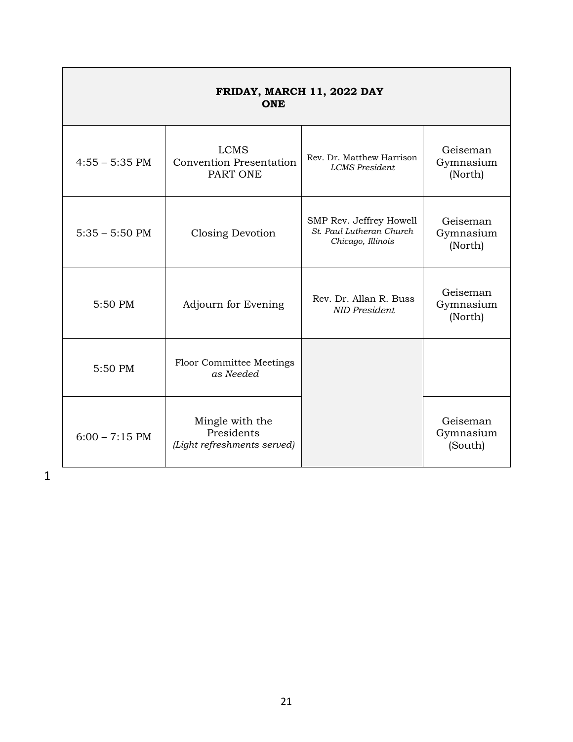| FRIDAY, MARCH 11, 2022 DAY<br>ONE |                                                              |                                                                          |                                  |
|-----------------------------------|--------------------------------------------------------------|--------------------------------------------------------------------------|----------------------------------|
| $4:55 - 5:35$ PM                  | <b>LCMS</b><br><b>Convention Presentation</b><br>PART ONE    | Rev. Dr. Matthew Harrison<br><b>LCMS</b> President                       | Geiseman<br>Gymnasium<br>(North) |
| $5:35 - 5:50$ PM                  | Closing Devotion                                             | SMP Rev. Jeffrey Howell<br>St. Paul Lutheran Church<br>Chicago, Illinois | Geiseman<br>Gymnasium<br>(North) |
| 5:50 PM                           | Adjourn for Evening                                          | Rev. Dr. Allan R. Buss<br><b>NID President</b>                           | Geiseman<br>Gymnasium<br>(North) |
| 5:50 PM                           | <b>Floor Committee Meetings</b><br>as Needed                 |                                                                          |                                  |
| $6:00 - 7:15$ PM                  | Mingle with the<br>Presidents<br>(Light refreshments served) |                                                                          | Geiseman<br>Gymnasium<br>(South) |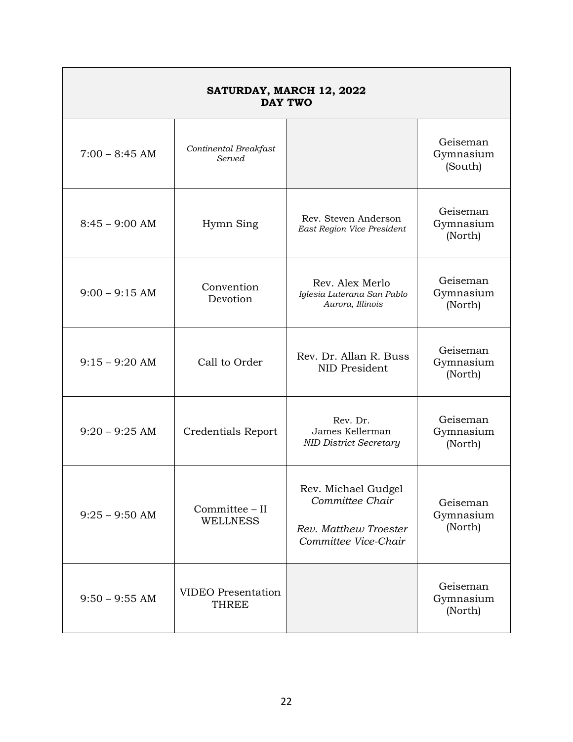| SATURDAY, MARCH 12, 2022<br><b>DAY TWO</b> |                                           |                                                                                         |                                  |
|--------------------------------------------|-------------------------------------------|-----------------------------------------------------------------------------------------|----------------------------------|
| $7:00 - 8:45$ AM                           | Continental Breakfast<br>Served           |                                                                                         | Geiseman<br>Gymnasium<br>(South) |
| $8:45 - 9:00$ AM                           | Hymn Sing                                 | Rev. Steven Anderson<br>East Region Vice President                                      | Geiseman<br>Gymnasium<br>(North) |
| $9:00 - 9:15$ AM                           | Convention<br>Devotion                    | Rev. Alex Merlo<br>Iglesia Luterana San Pablo<br>Aurora, Illinois                       | Geiseman<br>Gymnasium<br>(North) |
| $9:15 - 9:20$ AM                           | Call to Order                             | Rev. Dr. Allan R. Buss<br>NID President                                                 | Geiseman<br>Gymnasium<br>(North) |
| $9:20 - 9:25$ AM                           | Credentials Report                        | Rev. Dr.<br>James Kellerman<br><b>NID District Secretary</b>                            | Geiseman<br>Gymnasium<br>(North) |
| $9:25 - 9:50$ AM                           | Committee - II<br><b>WELLNESS</b>         | Rev. Michael Gudgel<br>Committee Chair<br>Rev. Matthew Troester<br>Committee Vice-Chair | Geiseman<br>Gymnasium<br>(North) |
| $9:50 - 9:55$ AM                           | <b>VIDEO</b> Presentation<br><b>THREE</b> |                                                                                         | Geiseman<br>Gymnasium<br>(North) |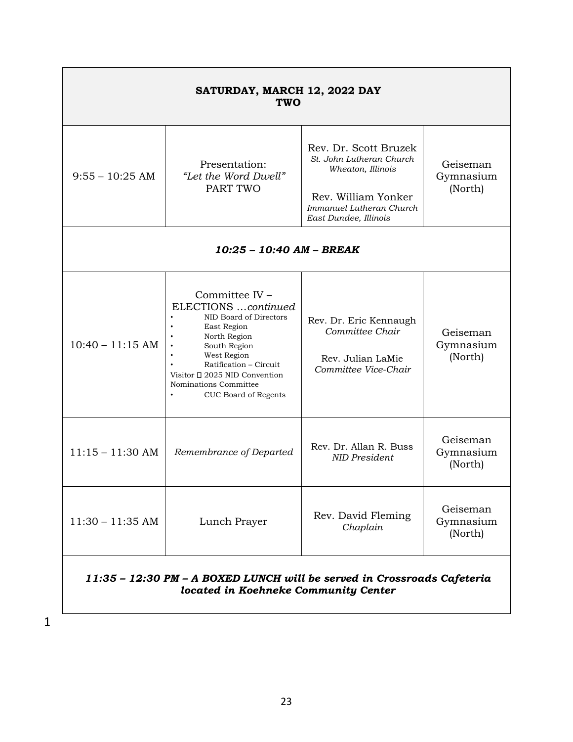| SATURDAY, MARCH 12, 2022 DAY<br><b>TWO</b>                                                                      |                                                                                                                                                                                                                                           |                                                                                                                                                    |                                  |  |
|-----------------------------------------------------------------------------------------------------------------|-------------------------------------------------------------------------------------------------------------------------------------------------------------------------------------------------------------------------------------------|----------------------------------------------------------------------------------------------------------------------------------------------------|----------------------------------|--|
| $9:55 - 10:25$ AM                                                                                               | Presentation:<br>"Let the Word Dwell"<br>PART TWO                                                                                                                                                                                         | Rev. Dr. Scott Bruzek<br>St. John Lutheran Church<br>Wheaton, Illinois<br>Rev. William Yonker<br>Immanuel Lutheran Church<br>East Dundee, Illinois | Geiseman<br>Gymnasium<br>(North) |  |
| 10:25 - 10:40 AM - BREAK                                                                                        |                                                                                                                                                                                                                                           |                                                                                                                                                    |                                  |  |
| $10:40 - 11:15$ AM                                                                                              | Committee IV -<br>ELECTIONS continued<br>NID Board of Directors<br>East Region<br>North Region<br>South Region<br>West Region<br>Ratification - Circuit<br>Visitor □ 2025 NID Convention<br>Nominations Committee<br>CUC Board of Regents | Rev. Dr. Eric Kennaugh<br>Committee Chair<br>Rev. Julian LaMie<br>Committee Vice-Chair                                                             | Geiseman<br>Gymnasium<br>(North) |  |
| $11:15 - 11:30$ AM                                                                                              | Remembrance of Departed                                                                                                                                                                                                                   | Rev. Dr. Allan R. Buss<br><b>NID</b> President                                                                                                     | Geiseman<br>Gymnasium<br>(North) |  |
| $11:30 - 11:35$ AM                                                                                              | Lunch Prayer                                                                                                                                                                                                                              | Rev. David Fleming<br>Chaplain                                                                                                                     | Geiseman<br>Gymnasium<br>(North) |  |
| 11:35 - 12:30 PM - A BOXED LUNCH will be served in Crossroads Cafeteria<br>located in Koehneke Community Center |                                                                                                                                                                                                                                           |                                                                                                                                                    |                                  |  |

 $\Gamma$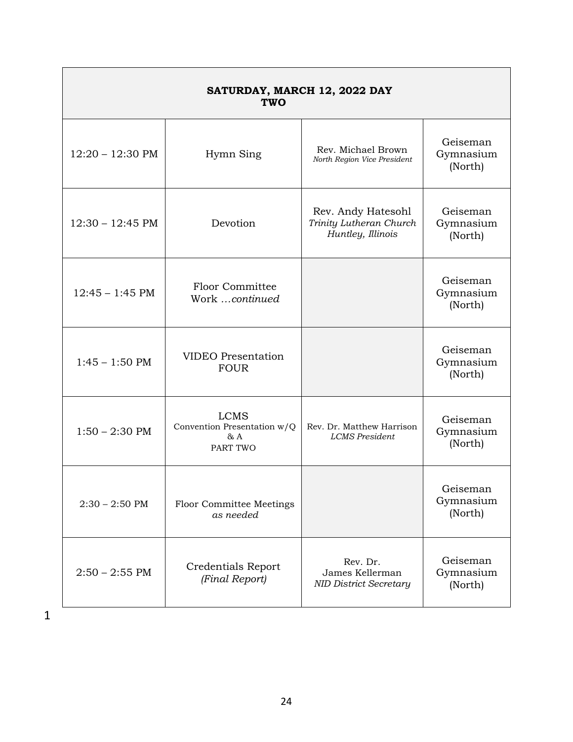| SATURDAY, MARCH 12, 2022 DAY<br>TWO |                                                               |                                                                    |                                  |
|-------------------------------------|---------------------------------------------------------------|--------------------------------------------------------------------|----------------------------------|
| $12:20 - 12:30 \text{ PM}$          | Hymn Sing                                                     | Rev. Michael Brown<br>North Region Vice President                  | Geiseman<br>Gymnasium<br>(North) |
| $12:30 - 12:45 \text{ PM}$          | Devotion                                                      | Rev. Andy Hatesohl<br>Trinity Lutheran Church<br>Huntley, Illinois | Geiseman<br>Gymnasium<br>(North) |
| $12:45 - 1:45$ PM                   | Floor Committee<br>Work continued                             |                                                                    | Geiseman<br>Gymnasium<br>(North) |
| $1:45 - 1:50$ PM                    | <b>VIDEO</b> Presentation<br><b>FOUR</b>                      |                                                                    | Geiseman<br>Gymnasium<br>(North) |
| $1:50 - 2:30$ PM                    | <b>LCMS</b><br>Convention Presentation w/Q<br>& A<br>PART TWO | Rev. Dr. Matthew Harrison<br><b>LCMS</b> President                 | Geiseman<br>Gymnasium<br>(North) |
| $2:30 - 2:50$ PM                    | <b>Floor Committee Meetings</b><br>as needed                  |                                                                    | Geiseman<br>Gymnasium<br>(North) |
| $2:50 - 2:55$ PM                    | <b>Credentials Report</b><br>(Final Report)                   | Rev. Dr.<br>James Kellerman<br><b>NID District Secretary</b>       | Geiseman<br>Gymnasium<br>(North) |

 $\overline{\phantom{0}}$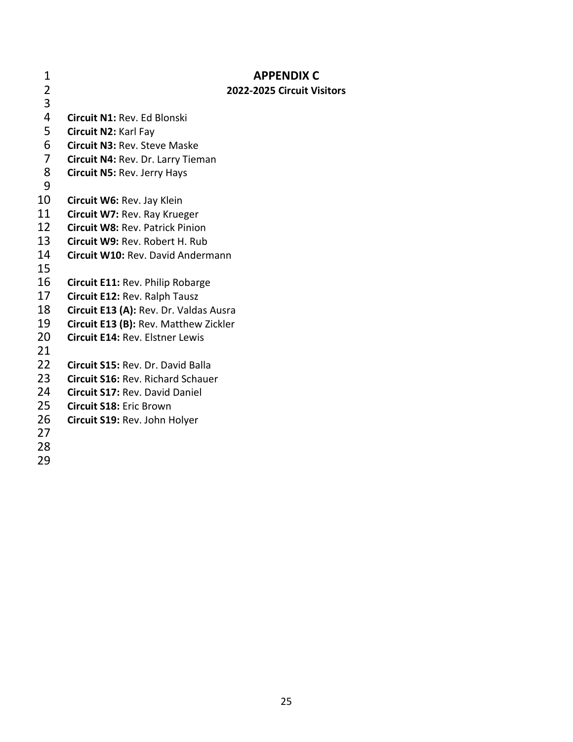| 1                            | <b>APPENDIX C</b>                        |
|------------------------------|------------------------------------------|
| $\overline{\mathbf{2}}$<br>3 | 2022-2025 Circuit Visitors               |
| 4                            | <b>Circuit N1: Rev. Ed Blonski</b>       |
| 5                            | Circuit N2: Karl Fay                     |
| 6                            | <b>Circuit N3: Rev. Steve Maske</b>      |
| $\overline{7}$               | Circuit N4: Rev. Dr. Larry Tieman        |
| 8                            | <b>Circuit N5: Rev. Jerry Hays</b>       |
| 9                            |                                          |
| 10                           | Circuit W6: Rev. Jay Klein               |
| 11                           | Circuit W7: Rev. Ray Krueger             |
| 12                           | <b>Circuit W8: Rev. Patrick Pinion</b>   |
| 13                           | Circuit W9: Rev. Robert H. Rub           |
| 14                           | Circuit W10: Rev. David Andermann        |
| 15                           |                                          |
| 16                           | Circuit E11: Rev. Philip Robarge         |
| 17                           | Circuit E12: Rev. Ralph Tausz            |
| 18                           | Circuit E13 (A): Rev. Dr. Valdas Ausra   |
| 19<br>20                     | Circuit E13 (B): Rev. Matthew Zickler    |
| 21                           | Circuit E14: Rev. Elstner Lewis          |
| 22                           | Circuit S15: Rev. Dr. David Balla        |
| 23                           | <b>Circuit S16: Rev. Richard Schauer</b> |
| 24                           | <b>Circuit S17: Rev. David Daniel</b>    |
| 25                           | <b>Circuit S18: Eric Brown</b>           |
| 26                           | Circuit S19: Rev. John Holyer            |
| 27                           |                                          |
| 28                           |                                          |
| 29                           |                                          |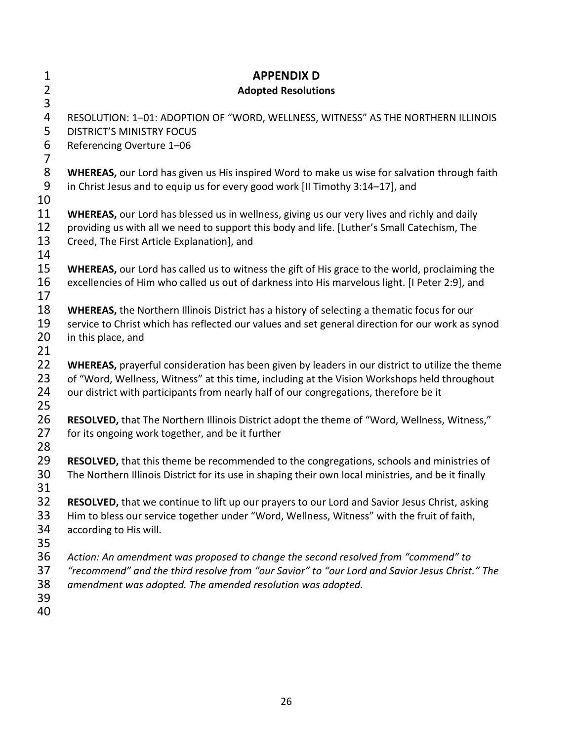| 1<br>$\overline{2}$<br>3      | <b>APPENDIX D</b><br><b>Adopted Resolutions</b>                                                                                                                                                                                                                                          |
|-------------------------------|------------------------------------------------------------------------------------------------------------------------------------------------------------------------------------------------------------------------------------------------------------------------------------------|
| 4<br>5<br>6<br>$\overline{7}$ | RESOLUTION: 1-01: ADOPTION OF "WORD, WELLNESS, WITNESS" AS THE NORTHERN ILLINOIS<br><b>DISTRICT'S MINISTRY FOCUS</b><br>Referencing Overture 1-06                                                                                                                                        |
| 8<br>9<br>10                  | WHEREAS, our Lord has given us His inspired Word to make us wise for salvation through faith<br>in Christ Jesus and to equip us for every good work [II Timothy 3:14-17], and                                                                                                            |
| 11<br>12<br>13<br>14          | WHEREAS, our Lord has blessed us in wellness, giving us our very lives and richly and daily<br>providing us with all we need to support this body and life. [Luther's Small Catechism, The<br>Creed, The First Article Explanation], and                                                 |
| 15<br>16<br>17                | WHEREAS, our Lord has called us to witness the gift of His grace to the world, proclaiming the<br>excellencies of Him who called us out of darkness into His marvelous light. [I Peter 2:9], and                                                                                         |
| 18<br>19<br>20<br>21          | <b>WHEREAS, the Northern Illinois District has a history of selecting a thematic focus for our</b><br>service to Christ which has reflected our values and set general direction for our work as synod<br>in this place, and                                                             |
| 22<br>23<br>24<br>25          | WHEREAS, prayerful consideration has been given by leaders in our district to utilize the theme<br>of "Word, Wellness, Witness" at this time, including at the Vision Workshops held throughout<br>our district with participants from nearly half of our congregations, therefore be it |
| 26<br>27<br>28                | RESOLVED, that The Northern Illinois District adopt the theme of "Word, Wellness, Witness,"<br>for its ongoing work together, and be it further                                                                                                                                          |
| 29<br>30<br>31                | RESOLVED, that this theme be recommended to the congregations, schools and ministries of<br>The Northern Illinois District for its use in shaping their own local ministries, and be it finally                                                                                          |
| 32<br>33<br>34<br>35          | <b>RESOLVED</b> , that we continue to lift up our prayers to our Lord and Savior Jesus Christ, asking<br>Him to bless our service together under "Word, Wellness, Witness" with the fruit of faith,<br>according to His will.                                                            |
| 36<br>37<br>38<br>39<br>40    | Action: An amendment was proposed to change the second resolved from "commend" to<br>"recommend" and the third resolve from "our Savior" to "our Lord and Savior Jesus Christ." The<br>amendment was adopted. The amended resolution was adopted.                                        |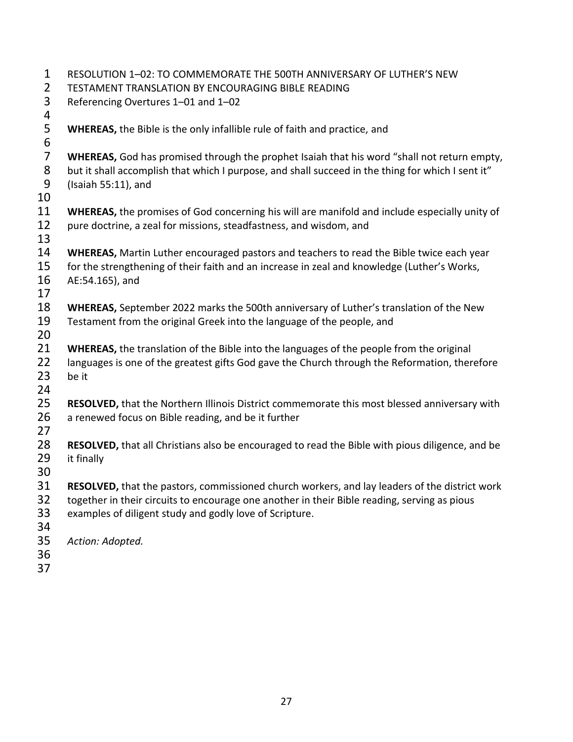| 1              | RESOLUTION 1-02: TO COMMEMORATE THE 500TH ANNIVERSARY OF LUTHER'S NEW                                |
|----------------|------------------------------------------------------------------------------------------------------|
| $\overline{2}$ | TESTAMENT TRANSLATION BY ENCOURAGING BIBLE READING                                                   |
| 3              | Referencing Overtures 1-01 and 1-02                                                                  |
| 4              |                                                                                                      |
| 5              | <b>WHEREAS, the Bible is the only infallible rule of faith and practice, and</b>                     |
| 6              |                                                                                                      |
| $\overline{7}$ | WHEREAS, God has promised through the prophet Isaiah that his word "shall not return empty,          |
| $\bf 8$        | but it shall accomplish that which I purpose, and shall succeed in the thing for which I sent it"    |
| 9              | (Isaiah 55:11), and                                                                                  |
| 10             |                                                                                                      |
| 11             | WHEREAS, the promises of God concerning his will are manifold and include especially unity of        |
| 12             | pure doctrine, a zeal for missions, steadfastness, and wisdom, and                                   |
| 13             |                                                                                                      |
| 14             | WHEREAS, Martin Luther encouraged pastors and teachers to read the Bible twice each year             |
| 15             | for the strengthening of their faith and an increase in zeal and knowledge (Luther's Works,          |
| 16             | AE:54.165), and                                                                                      |
| 17             |                                                                                                      |
| 18             | WHEREAS, September 2022 marks the 500th anniversary of Luther's translation of the New               |
| 19             | Testament from the original Greek into the language of the people, and                               |
| 20             |                                                                                                      |
| 21             | WHEREAS, the translation of the Bible into the languages of the people from the original             |
| 22             | languages is one of the greatest gifts God gave the Church through the Reformation, therefore        |
| 23             | be it                                                                                                |
| 24             |                                                                                                      |
| 25             | RESOLVED, that the Northern Illinois District commemorate this most blessed anniversary with         |
| 26             | a renewed focus on Bible reading, and be it further                                                  |
| 27             |                                                                                                      |
| 28             | RESOLVED, that all Christians also be encouraged to read the Bible with pious diligence, and be      |
| 29             | it finally                                                                                           |
| 30             |                                                                                                      |
| 31             | <b>RESOLVED, that the pastors, commissioned church workers, and lay leaders of the district work</b> |
| 32             | together in their circuits to encourage one another in their Bible reading, serving as pious         |
| 33             | examples of diligent study and godly love of Scripture.                                              |
| 34             |                                                                                                      |
| 35             | Action: Adopted.                                                                                     |
| 36             |                                                                                                      |
| 37             |                                                                                                      |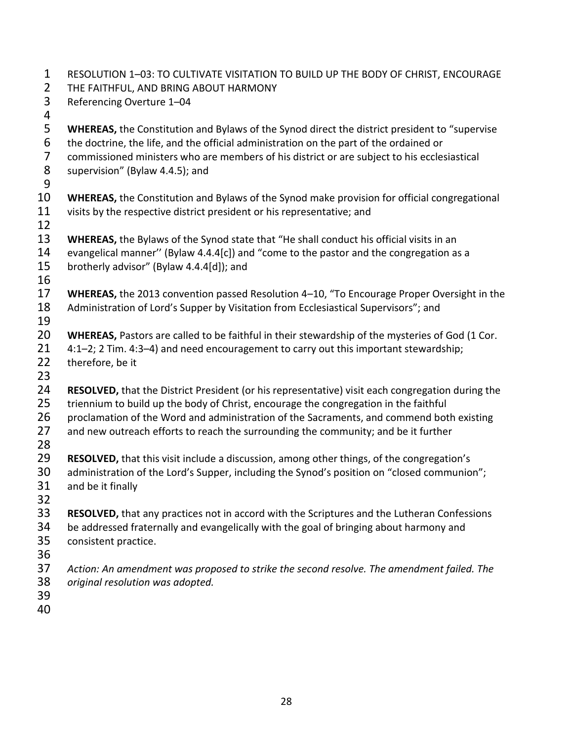- RESOLUTION 1–03: TO CULTIVATE VISITATION TO BUILD UP THE BODY OF CHRIST, ENCOURAGE
- THE FAITHFUL, AND BRING ABOUT HARMONY
- Referencing Overture 1–04
- 
- **WHEREAS,** the Constitution and Bylaws of the Synod direct the district president to "supervise
- 6 the doctrine, the life, and the official administration on the part of the ordained or<br>7 commissioned ministers who are members of his district or are subject to his eccles
- 7 commissioned ministers who are members of his district or are subject to his ecclesiastical<br>8 supervision" (Bylaw 4.4.5); and
- supervision" (Bylaw 4.4.5); and
- **WHEREAS,** the Constitution and Bylaws of the Synod make provision for official congregational 11 visits by the respective district president or his representative; and
- 
- **WHEREAS,** the Bylaws of the Synod state that "He shall conduct his official visits in an
- evangelical manner'' (Bylaw 4.4.4[c]) and "come to the pastor and the congregation as a
- brotherly advisor" (Bylaw 4.4.4[d]); and
- 
- **WHEREAS,** the 2013 convention passed Resolution 4–10, "To Encourage Proper Oversight in the Administration of Lord's Supper by Visitation from Ecclesiastical Supervisors"; and
- **WHEREAS,** Pastors are called to be faithful in their stewardship of the mysteries of God (1 Cor.
- 4:1–2; 2 Tim. 4:3–4) and need encouragement to carry out this important stewardship;
- 22 therefore, be it
- **RESOLVED,** that the District President (or his representative) visit each congregation during the
- 25 triennium to build up the body of Christ, encourage the congregation in the faithful
- 26 proclamation of the Word and administration of the Sacraments, and commend both existing
- 27 and new outreach efforts to reach the surrounding the community; and be it further
- 
- **RESOLVED,** that this visit include a discussion, among other things, of the congregation's
- 30 administration of the Lord's Supper, including the Synod's position on "closed communion";
- and be it finally
- **RESOLVED,** that any practices not in accord with the Scriptures and the Lutheran Confessions
- be addressed fraternally and evangelically with the goal of bringing about harmony and consistent practice.
- 
- *Action: An amendment was proposed to strike the second resolve. The amendment failed. The original resolution was adopted.*
- 
-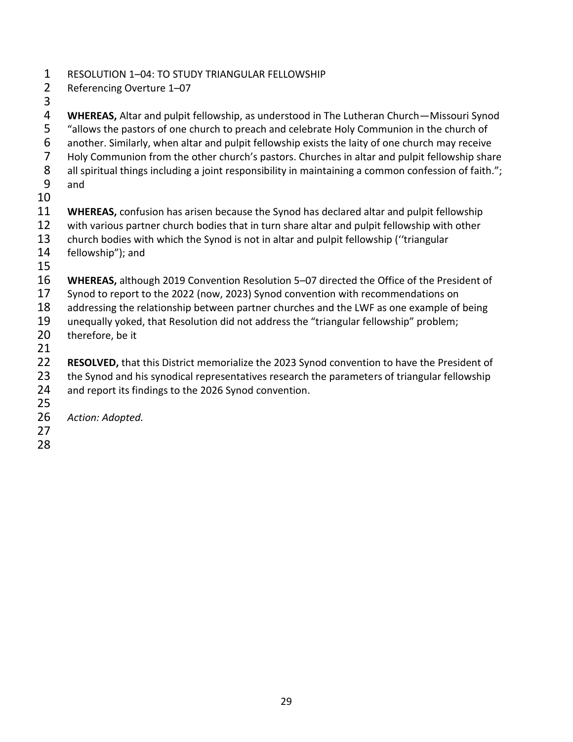- RESOLUTION 1–04: TO STUDY TRIANGULAR FELLOWSHIP
- Referencing Overture 1–07
- 

 **WHEREAS,** Altar and pulpit fellowship, as understood in The Lutheran Church—Missouri Synod "allows the pastors of one church to preach and celebrate Holy Communion in the church of another. Similarly, when altar and pulpit fellowship exists the laity of one church may receive 7 Holy Communion from the other church's pastors. Churches in altar and pulpit fellowship share<br>8 all spiritual things including a joint responsibility in maintaining a common confession of faith.";

all spiritual things including a joint responsibility in maintaining a common confession of faith."; and

- **WHEREAS,** confusion has arisen because the Synod has declared altar and pulpit fellowship
- with various partner church bodies that in turn share altar and pulpit fellowship with other
- church bodies with which the Synod is not in altar and pulpit fellowship (''triangular
- fellowship"); and
- 
- **WHEREAS,** although 2019 Convention Resolution 5–07 directed the Office of the President of
- Synod to report to the 2022 (now, 2023) Synod convention with recommendations on
- 18 addressing the relationship between partner churches and the LWF as one example of being
- unequally yoked, that Resolution did not address the "triangular fellowship" problem;
- therefore, be it
- 
- **RESOLVED,** that this District memorialize the 2023 Synod convention to have the President of
- 23 the Synod and his synodical representatives research the parameters of triangular fellowship
- and report its findings to the 2026 Synod convention.
- 
- *Action: Adopted.*
-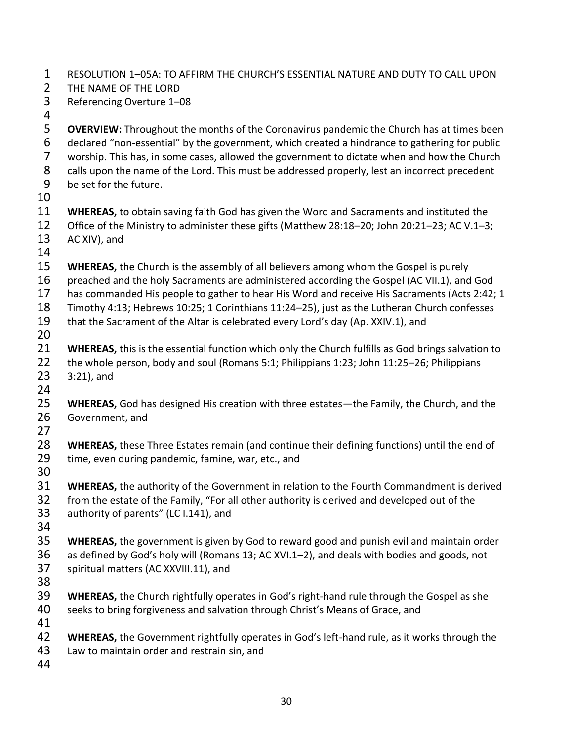RESOLUTION 1–05A: TO AFFIRM THE CHURCH'S ESSENTIAL NATURE AND DUTY TO CALL UPON

- THE NAME OF THE LORD
- Referencing Overture 1–08
- 

 **OVERVIEW:** Throughout the months of the Coronavirus pandemic the Church has at times been declared "non-essential" by the government, which created a hindrance to gathering for public worship. This has, in some cases, allowed the government to dictate when and how the Church 8 calls upon the name of the Lord. This must be addressed properly, lest an incorrect precedent be set for the future.

 **WHEREAS,** to obtain saving faith God has given the Word and Sacraments and instituted the Office of the Ministry to administer these gifts (Matthew 28:18–20; John 20:21–23; AC V.1–3; AC XIV), and

**WHEREAS,** the Church is the assembly of all believers among whom the Gospel is purely

- preached and the holy Sacraments are administered according the Gospel (AC VII.1), and God
- has commanded His people to gather to hear His Word and receive His Sacraments (Acts 2:42; 1
- Timothy 4:13; Hebrews 10:25; 1 Corinthians 11:24–25), just as the Lutheran Church confesses
- that the Sacrament of the Altar is celebrated every Lord's day (Ap. XXIV.1), and
- 
- **WHEREAS,** this is the essential function which only the Church fulfills as God brings salvation to
- the whole person, body and soul (Romans 5:1; Philippians 1:23; John 11:25–26; Philippians
- 3:21), and
- **WHEREAS,** God has designed His creation with three estates—the Family, the Church, and the Government, and
- 
- **WHEREAS,** these Three Estates remain (and continue their defining functions) until the end of time, even during pandemic, famine, war, etc., and
- 
- **WHEREAS,** the authority of the Government in relation to the Fourth Commandment is derived from the estate of the Family, "For all other authority is derived and developed out of the authority of parents" (LC I.141), and
- 
- **WHEREAS,** the government is given by God to reward good and punish evil and maintain order as defined by God's holy will (Romans 13; AC XVI.1–2), and deals with bodies and goods, not spiritual matters (AC XXVIII.11), and
- 
- **WHEREAS,** the Church rightfully operates in God's right-hand rule through the Gospel as she seeks to bring forgiveness and salvation through Christ's Means of Grace, and
- 
- **WHEREAS,** the Government rightfully operates in God's left-hand rule, as it works through the
- Law to maintain order and restrain sin, and
-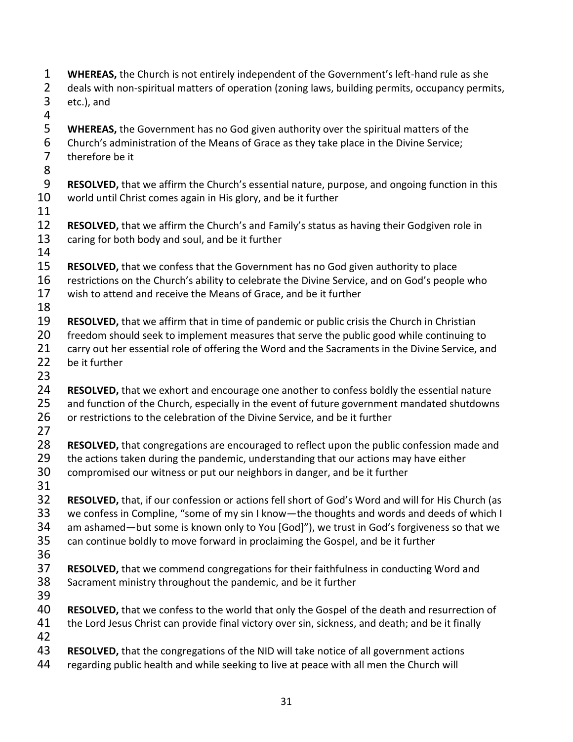deals with non-spiritual matters of operation (zoning laws, building permits, occupancy permits, etc.), and **WHEREAS,** the Government has no God given authority over the spiritual matters of the Church's administration of the Means of Grace as they take place in the Divine Service; therefore be it **RESOLVED,** that we affirm the Church's essential nature, purpose, and ongoing function in this world until Christ comes again in His glory, and be it further 11<br>12 **RESOLVED,** that we affirm the Church's and Family's status as having their Godgiven role in caring for both body and soul, and be it further **RESOLVED,** that we confess that the Government has no God given authority to place restrictions on the Church's ability to celebrate the Divine Service, and on God's people who wish to attend and receive the Means of Grace, and be it further **RESOLVED,** that we affirm that in time of pandemic or public crisis the Church in Christian 20 freedom should seek to implement measures that serve the public good while continuing to 21 carry out her essential role of offering the Word and the Sacraments in the Divine Service, and be it further **RESOLVED,** that we exhort and encourage one another to confess boldly the essential nature 25 and function of the Church, especially in the event of future government mandated shutdowns 26 or restrictions to the celebration of the Divine Service, and be it further **RESOLVED,** that congregations are encouraged to reflect upon the public confession made and 29 the actions taken during the pandemic, understanding that our actions may have either compromised our witness or put our neighbors in danger, and be it further **RESOLVED,** that, if our confession or actions fell short of God's Word and will for His Church (as we confess in Compline, "some of my sin I know—the thoughts and words and deeds of which I am ashamed—but some is known only to You [God]"), we trust in God's forgiveness so that we can continue boldly to move forward in proclaiming the Gospel, and be it further **RESOLVED,** that we commend congregations for their faithfulness in conducting Word and Sacrament ministry throughout the pandemic, and be it further **RESOLVED,** that we confess to the world that only the Gospel of the death and resurrection of 41 the Lord Jesus Christ can provide final victory over sin, sickness, and death; and be it finally **RESOLVED,** that the congregations of the NID will take notice of all government actions 44 regarding public health and while seeking to live at peace with all men the Church will

**WHEREAS,** the Church is not entirely independent of the Government's left-hand rule as she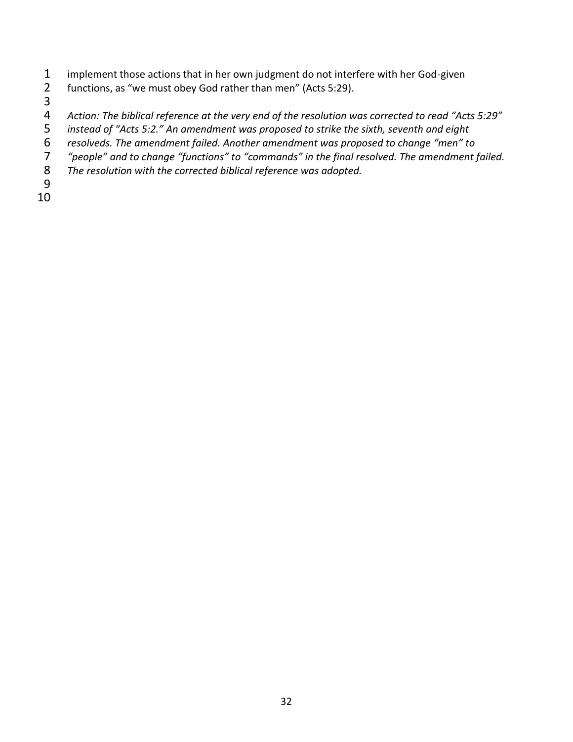- implement those actions that in her own judgment do not interfere with her God-given
- functions, as "we must obey God rather than men" (Acts 5:29).
- 
- 
- *Action: The biblical reference at the very end of the resolution was corrected to read "Acts 5:29" instead of "Acts 5:2." An amendment was proposed to strike the sixth, seventh and eight*
- *resolveds. The amendment failed. Another amendment was proposed to change "men" to*
- *"people" and to change "functions" to "commands" in the final resolved. The amendment failed.*
- *The resolution with the corrected biblical reference was adopted.*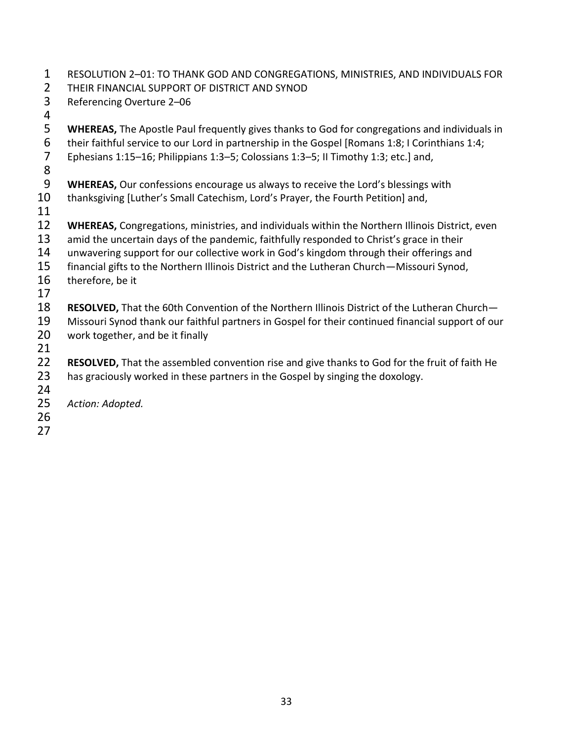- RESOLUTION 2–01: TO THANK GOD AND CONGREGATIONS, MINISTRIES, AND INDIVIDUALS FOR
- THEIR FINANCIAL SUPPORT OF DISTRICT AND SYNOD
- Referencing Overture 2–06
- **WHEREAS,** The Apostle Paul frequently gives thanks to God for congregations and individuals in 6 their faithful service to our Lord in partnership in the Gospel [Romans 1:8; I Corinthians 1:4;<br>7 Ephesians 1:15–16; Philippians 1:3–5; Colossians 1:3–5; II Timothy 1:3; etc.] and,
- Ephesians 1:15–16; Philippians 1:3–5; Colossians 1:3–5; II Timothy 1:3; etc.] and,
- 
- **WHEREAS,** Our confessions encourage us always to receive the Lord's blessings with
- thanksgiving [Luther's Small Catechism, Lord's Prayer, the Fourth Petition] and,
- 
- **WHEREAS,** Congregations, ministries, and individuals within the Northern Illinois District, even
- 13 amid the uncertain days of the pandemic, faithfully responded to Christ's grace in their
- unwavering support for our collective work in God's kingdom through their offerings and
- financial gifts to the Northern Illinois District and the Lutheran Church—Missouri Synod,
- therefore, be it
- 
- **RESOLVED,** That the 60th Convention of the Northern Illinois District of the Lutheran Church—
- Missouri Synod thank our faithful partners in Gospel for their continued financial support of our work together, and be it finally
- 
- **RESOLVED,** That the assembled convention rise and give thanks to God for the fruit of faith He has graciously worked in these partners in the Gospel by singing the doxology.
- 
- *Action: Adopted.*
- -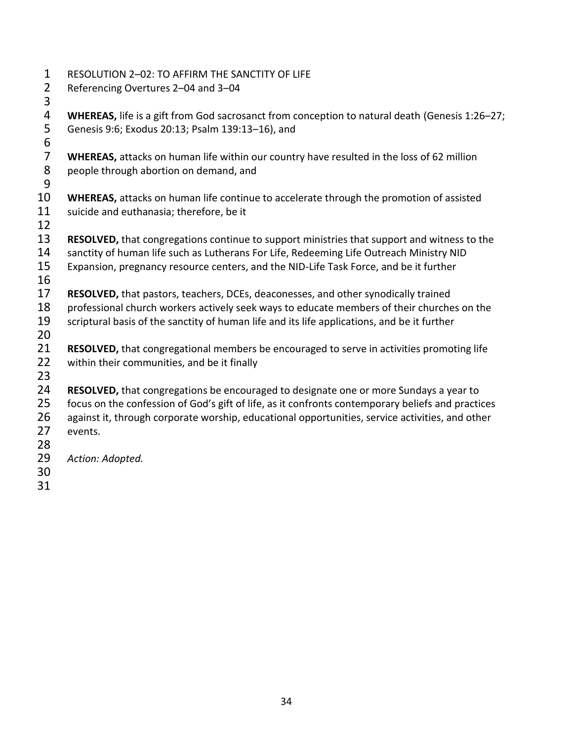RESOLUTION 2–02: TO AFFIRM THE SANCTITY OF LIFE Referencing Overtures 2–04 and 3–04 4 **WHEREAS,** life is a gift from God sacrosanct from conception to natural death (Genesis 1:26–27;<br>5 Genesis 9:6; Exodus 20:13; Psalm 139:13–16), and Genesis 9:6; Exodus 20:13; Psalm 139:13–16), and 6<br>7 7 **WHEREAS,** attacks on human life within our country have resulted in the loss of 62 million<br>8 people through abortion on demand, and people through abortion on demand, and **WHEREAS,** attacks on human life continue to accelerate through the promotion of assisted suicide and euthanasia; therefore, be it **RESOLVED,** that congregations continue to support ministries that support and witness to the sanctity of human life such as Lutherans For Life, Redeeming Life Outreach Ministry NID Expansion, pregnancy resource centers, and the NID-Life Task Force, and be it further **RESOLVED,** that pastors, teachers, DCEs, deaconesses, and other synodically trained professional church workers actively seek ways to educate members of their churches on the 19 scriptural basis of the sanctity of human life and its life applications, and be it further **RESOLVED,** that congregational members be encouraged to serve in activities promoting life within their communities, and be it finally **RESOLVED,** that congregations be encouraged to designate one or more Sundays a year to focus on the confession of God's gift of life, as it confronts contemporary beliefs and practices 26 against it, through corporate worship, educational opportunities, service activities, and other events. *Action: Adopted.*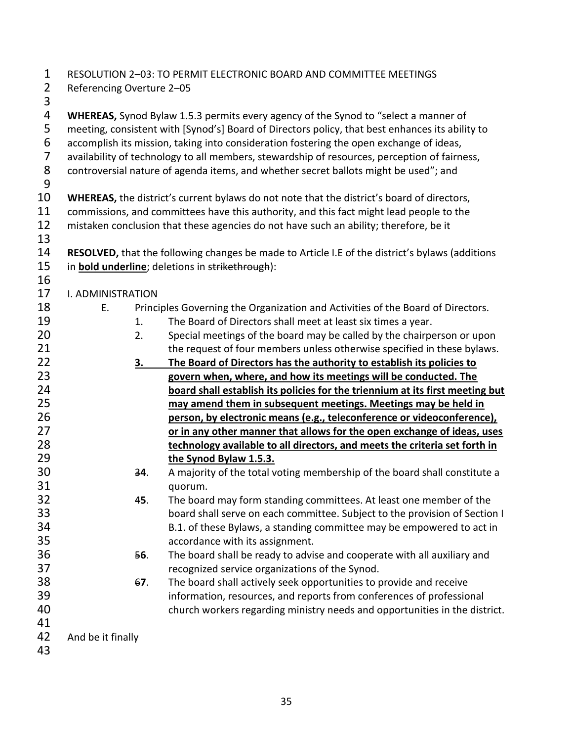| $\mathbf 1$    |                           |           | RESOLUTION 2-03: TO PERMIT ELECTRONIC BOARD AND COMMITTEE MEETINGS                              |
|----------------|---------------------------|-----------|-------------------------------------------------------------------------------------------------|
| $\overline{2}$ | Referencing Overture 2-05 |           |                                                                                                 |
| 3              |                           |           |                                                                                                 |
| 4              |                           |           | <b>WHEREAS,</b> Synod Bylaw 1.5.3 permits every agency of the Synod to "select a manner of      |
| 5              |                           |           | meeting, consistent with [Synod's] Board of Directors policy, that best enhances its ability to |
| 6              |                           |           | accomplish its mission, taking into consideration fostering the open exchange of ideas,         |
| $\overline{7}$ |                           |           | availability of technology to all members, stewardship of resources, perception of fairness,    |
| $\,8\,$        |                           |           | controversial nature of agenda items, and whether secret ballots might be used"; and            |
| $9\,$          |                           |           |                                                                                                 |
| 10             |                           |           | WHEREAS, the district's current bylaws do not note that the district's board of directors,      |
| 11             |                           |           | commissions, and committees have this authority, and this fact might lead people to the         |
| 12             |                           |           | mistaken conclusion that these agencies do not have such an ability; therefore, be it           |
| 13             |                           |           |                                                                                                 |
| 14             |                           |           | RESOLVED, that the following changes be made to Article I.E of the district's bylaws (additions |
| 15             |                           |           | in <b>bold underline</b> ; deletions in strikethrough):                                         |
| 16             |                           |           |                                                                                                 |
| 17             | I. ADMINISTRATION         |           |                                                                                                 |
| 18             | Ε.                        |           | Principles Governing the Organization and Activities of the Board of Directors.                 |
| 19             |                           | 1.        | The Board of Directors shall meet at least six times a year.                                    |
| 20             |                           | 2.        | Special meetings of the board may be called by the chairperson or upon                          |
| 21             |                           |           | the request of four members unless otherwise specified in these bylaws.                         |
| 22             |                           | <u>3.</u> | The Board of Directors has the authority to establish its policies to                           |
| 23             |                           |           | govern when, where, and how its meetings will be conducted. The                                 |
| 24             |                           |           | board shall establish its policies for the triennium at its first meeting but                   |
| 25             |                           |           | may amend them in subsequent meetings. Meetings may be held in                                  |
| 26             |                           |           | person, by electronic means (e.g., teleconference or videoconference),                          |
| 27             |                           |           | or in any other manner that allows for the open exchange of ideas, uses                         |
| 28             |                           |           | technology available to all directors, and meets the criteria set forth in                      |
| 29             |                           |           | the Synod Bylaw 1.5.3.                                                                          |
| 30             |                           | 34.       | A majority of the total voting membership of the board shall constitute a                       |
| 31             |                           |           | quorum.                                                                                         |
| 32             |                           | 45.       | The board may form standing committees. At least one member of the                              |
| 33             |                           |           | board shall serve on each committee. Subject to the provision of Section I                      |
| 34             |                           |           | B.1. of these Bylaws, a standing committee may be empowered to act in                           |
| 35             |                           |           | accordance with its assignment.                                                                 |
| 36             |                           | 56.       | The board shall be ready to advise and cooperate with all auxiliary and                         |
| 37             |                           |           | recognized service organizations of the Synod.                                                  |
| 38             |                           | 67.       | The board shall actively seek opportunities to provide and receive                              |
| 39             |                           |           | information, resources, and reports from conferences of professional                            |
| 40             |                           |           | church workers regarding ministry needs and opportunities in the district.                      |
| 41             |                           |           |                                                                                                 |
| 42             | And be it finally         |           |                                                                                                 |
| 43             |                           |           |                                                                                                 |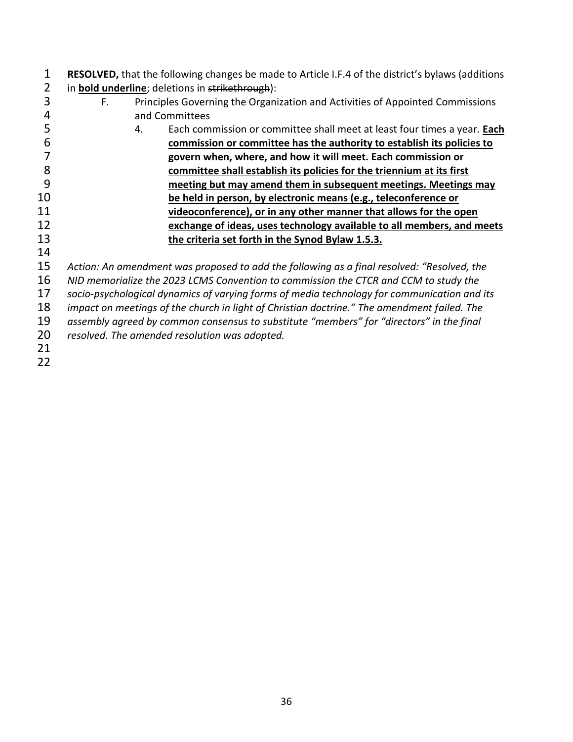| 1  |    |    | <b>RESOLVED, that the following changes be made to Article I.F.4 of the district's bylaws (additions</b> |
|----|----|----|----------------------------------------------------------------------------------------------------------|
| 2  |    |    | in <b>bold underline</b> ; deletions in strikethrough):                                                  |
| 3  | F. |    | Principles Governing the Organization and Activities of Appointed Commissions                            |
|    |    |    | and Committees                                                                                           |
| 5  |    | 4. | Each commission or committee shall meet at least four times a year. Each                                 |
| 6  |    |    | commission or committee has the authority to establish its policies to                                   |
|    |    |    | govern when, where, and how it will meet. Each commission or                                             |
| 8  |    |    | committee shall establish its policies for the triennium at its first                                    |
| 9  |    |    | meeting but may amend them in subsequent meetings. Meetings may                                          |
| 10 |    |    | be held in person, by electronic means (e.g., teleconference or                                          |
| 11 |    |    | videoconference), or in any other manner that allows for the open                                        |
| 12 |    |    | exchange of ideas, uses technology available to all members, and meets                                   |
| 13 |    |    | the criteria set forth in the Synod Bylaw 1.5.3.                                                         |
| 14 |    |    |                                                                                                          |
| 15 |    |    | Action: An amendment was proposed to add the following as a final resolved: "Resolved, the               |
| 16 |    |    | NID memorialize the 2023 LCMS Convention to commission the CTCR and CCM to study the                     |
| 17 |    |    | socio-psychological dynamics of varying forms of media technology for communication and its              |
| 10 |    |    |                                                                                                          |

*impact on meetings of the church in light of Christian doctrine." The amendment failed. The* 

*assembly agreed by common consensus to substitute "members" for "directors" in the final* 

resolved. The amended resolution was adopted.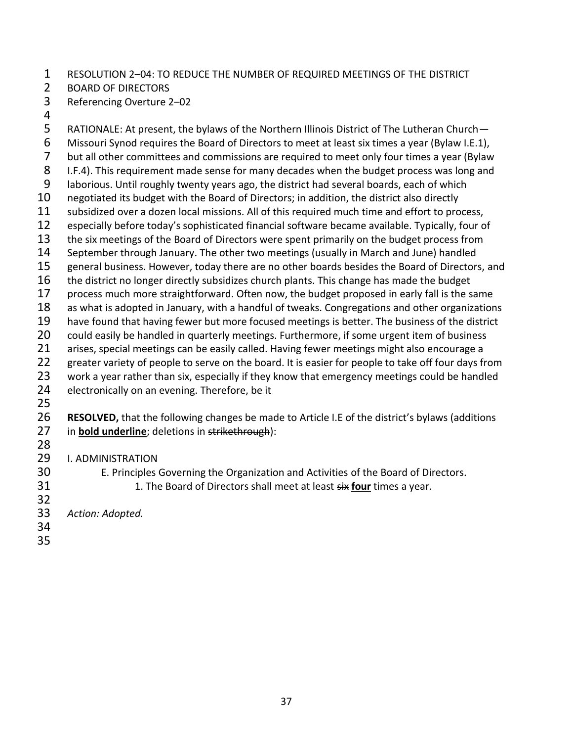#### RESOLUTION 2–04: TO REDUCE THE NUMBER OF REQUIRED MEETINGS OF THE DISTRICT

- BOARD OF DIRECTORS
- Referencing Overture 2–02
- 

 RATIONALE: At present, the bylaws of the Northern Illinois District of The Lutheran Church— Missouri Synod requires the Board of Directors to meet at least six times a year (Bylaw I.E.1), 7 but all other committees and commissions are required to meet only four times a year (Bylaw<br>8 1.F.4). This requirement made sense for many decades when the budget process was long and I.F.4). This requirement made sense for many decades when the budget process was long and laborious. Until roughly twenty years ago, the district had several boards, each of which 10 negotiated its budget with the Board of Directors; in addition, the district also directly 11 subsidized over a dozen local missions. All of this required much time and effort to process,<br>12 especially before today's sophisticated financial software became available. Typically, four c especially before today's sophisticated financial software became available. Typically, four of 13 the six meetings of the Board of Directors were spent primarily on the budget process from September through January. The other two meetings (usually in March and June) handled general business. However, today there are no other boards besides the Board of Directors, and 16 the district no longer directly subsidizes church plants. This change has made the budget 17 process much more straightforward. Often now, the budget proposed in early fall is the same as what is adopted in January, with a handful of tweaks. Congregations and other organizations have found that having fewer but more focused meetings is better. The business of the district 20 could easily be handled in quarterly meetings. Furthermore, if some urgent item of business 21 arises, special meetings can be easily called. Having fewer meetings might also encourage a 22 greater variety of people to serve on the board. It is easier for people to take off four days from 23 work a year rather than six, especially if they know that emergency meetings could be handled 24 electronically on an evening. Therefore, be it **RESOLVED,** that the following changes be made to Article I.E of the district's bylaws (additions in **bold underline**; deletions in strikethrough): I. ADMINISTRATION E. Principles Governing the Organization and Activities of the Board of Directors. 1. The Board of Directors shall meet at least six **four** times a year. *Action: Adopted.*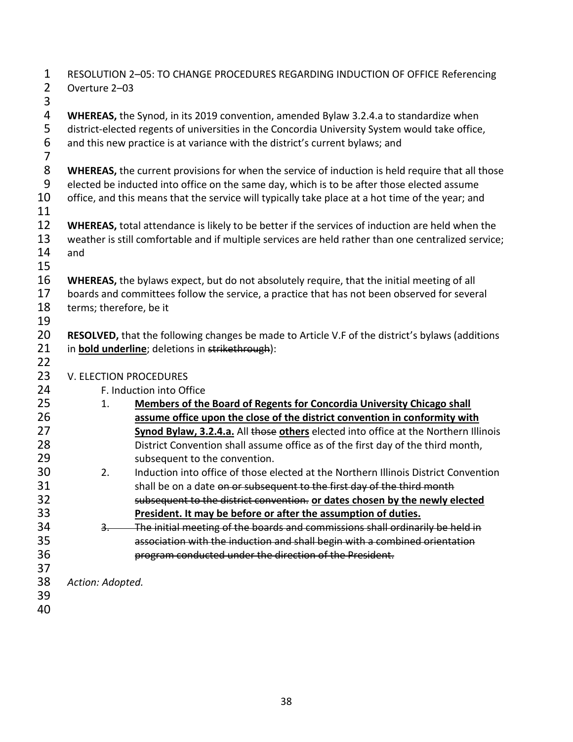| 1 RESOLUTION 2-05: TO CHANGE PROCEDURES REGARDING INDUCTION OF OFFICE Referencing |
|-----------------------------------------------------------------------------------|
| 2 Overture 2-03                                                                   |

 **WHEREAS,** the Synod, in its 2019 convention, amended Bylaw 3.2.4.a to standardize when district-elected regents of universities in the Concordia University System would take office, and this new practice is at variance with the district's current bylaws; and

**WHEREAS,** the current provisions for when the service of induction is held require that all those elected be inducted into office on the same day, which is to be after those elected assume

10 office, and this means that the service will typically take place at a hot time of the year; and

 **WHEREAS,** total attendance is likely to be better if the services of induction are held when the weather is still comfortable and if multiple services are held rather than one centralized service; and

 **WHEREAS,** the bylaws expect, but do not absolutely require, that the initial meeting of all boards and committees follow the service, a practice that has not been observed for several terms; therefore, be it

 **RESOLVED,** that the following changes be made to Article V.F of the district's bylaws (additions in **bold underline**; deletions in strikethrough):

- 23 V. ELECTION PROCEDURES
- F. Induction into Office
- 1. **Members of the Board of Regents for Concordia University Chicago shall assume office upon the close of the district convention in conformity with**  Synod Bylaw, 3.2.4.a. All those others elected into office at the Northern Illinois District Convention shall assume office as of the first day of the third month, 29 subsequent to the convention. 2. Induction into office of those elected at the Northern Illinois District Convention
- 31 shall be on a date on or subsequent to the first day of the third month subsequent to the district convention. **or dates chosen by the newly elected President. It may be before or after the assumption of duties.**
- 3. The initial meeting of the boards and commissions shall ordinarily be held in association with the induction and shall begin with a combined orientation program conducted under the direction of the President.
- 
- *Action: Adopted.*
-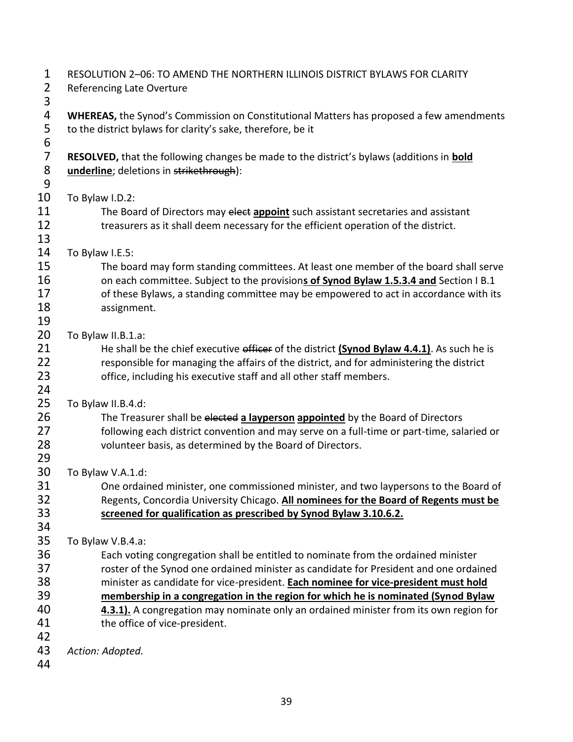| $\mathbf 1$<br>$\overline{2}$ | RESOLUTION 2-06: TO AMEND THE NORTHERN ILLINOIS DISTRICT BYLAWS FOR CLARITY<br><b>Referencing Late Overture</b>                                        |  |  |  |  |  |
|-------------------------------|--------------------------------------------------------------------------------------------------------------------------------------------------------|--|--|--|--|--|
| 3                             |                                                                                                                                                        |  |  |  |  |  |
| 4<br>5                        | WHEREAS, the Synod's Commission on Constitutional Matters has proposed a few amendments<br>to the district bylaws for clarity's sake, therefore, be it |  |  |  |  |  |
| 6                             |                                                                                                                                                        |  |  |  |  |  |
| $\overline{7}$                | RESOLVED, that the following changes be made to the district's bylaws (additions in bold                                                               |  |  |  |  |  |
| 8                             | underline; deletions in strikethrough):                                                                                                                |  |  |  |  |  |
| 9                             |                                                                                                                                                        |  |  |  |  |  |
| 10                            | To Bylaw I.D.2:                                                                                                                                        |  |  |  |  |  |
| 11                            | The Board of Directors may elect appoint such assistant secretaries and assistant                                                                      |  |  |  |  |  |
| 12                            | treasurers as it shall deem necessary for the efficient operation of the district.                                                                     |  |  |  |  |  |
| 13                            |                                                                                                                                                        |  |  |  |  |  |
| 14                            | To Bylaw I.E.5:                                                                                                                                        |  |  |  |  |  |
| 15                            | The board may form standing committees. At least one member of the board shall serve                                                                   |  |  |  |  |  |
| 16                            | on each committee. Subject to the provisions of Synod Bylaw 1.5.3.4 and Section I B.1                                                                  |  |  |  |  |  |
| 17                            | of these Bylaws, a standing committee may be empowered to act in accordance with its                                                                   |  |  |  |  |  |
| 18                            | assignment.                                                                                                                                            |  |  |  |  |  |
| 19                            |                                                                                                                                                        |  |  |  |  |  |
| 20                            | To Bylaw II.B.1.a:                                                                                                                                     |  |  |  |  |  |
| 21                            | He shall be the chief executive officer of the district (Synod Bylaw 4.4.1). As such he is                                                             |  |  |  |  |  |
| 22                            | responsible for managing the affairs of the district, and for administering the district                                                               |  |  |  |  |  |
| 23<br>24                      | office, including his executive staff and all other staff members.                                                                                     |  |  |  |  |  |
| 25                            | To Bylaw II.B.4.d:                                                                                                                                     |  |  |  |  |  |
| 26                            | The Treasurer shall be elected a layperson appointed by the Board of Directors                                                                         |  |  |  |  |  |
| 27                            | following each district convention and may serve on a full-time or part-time, salaried or                                                              |  |  |  |  |  |
| 28                            | volunteer basis, as determined by the Board of Directors.                                                                                              |  |  |  |  |  |
| 29                            |                                                                                                                                                        |  |  |  |  |  |
| 30                            | To Bylaw V.A.1.d:                                                                                                                                      |  |  |  |  |  |
| 31                            | One ordained minister, one commissioned minister, and two laypersons to the Board of                                                                   |  |  |  |  |  |
| 32                            | Regents, Concordia University Chicago. All nominees for the Board of Regents must be                                                                   |  |  |  |  |  |
| 33                            | screened for qualification as prescribed by Synod Bylaw 3.10.6.2.                                                                                      |  |  |  |  |  |
| 34                            |                                                                                                                                                        |  |  |  |  |  |
| 35                            | To Bylaw V.B.4.a:                                                                                                                                      |  |  |  |  |  |
| 36                            | Each voting congregation shall be entitled to nominate from the ordained minister                                                                      |  |  |  |  |  |
| 37                            | roster of the Synod one ordained minister as candidate for President and one ordained                                                                  |  |  |  |  |  |
| 38                            | minister as candidate for vice-president. Each nominee for vice-president must hold                                                                    |  |  |  |  |  |
| 39                            | membership in a congregation in the region for which he is nominated (Synod Bylaw                                                                      |  |  |  |  |  |
| 40                            | 4.3.1). A congregation may nominate only an ordained minister from its own region for                                                                  |  |  |  |  |  |
| 41                            | the office of vice-president.                                                                                                                          |  |  |  |  |  |
| 42                            |                                                                                                                                                        |  |  |  |  |  |
| 43                            | Action: Adopted.                                                                                                                                       |  |  |  |  |  |
| 44                            |                                                                                                                                                        |  |  |  |  |  |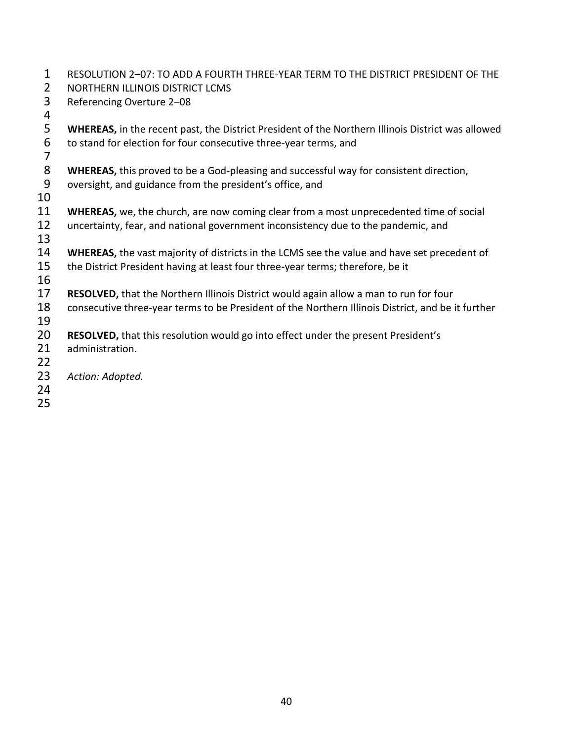| $\mathbf{1}$<br>$\overline{2}$ | RESOLUTION 2-07: TO ADD A FOURTH THREE-YEAR TERM TO THE DISTRICT PRESIDENT OF THE<br>NORTHERN ILLINOIS DISTRICT LCMS                                                          |
|--------------------------------|-------------------------------------------------------------------------------------------------------------------------------------------------------------------------------|
| 3<br>4                         | Referencing Overture 2-08                                                                                                                                                     |
| 5<br>6                         | <b>WHEREAS, in the recent past, the District President of the Northern Illinois District was allowed</b><br>to stand for election for four consecutive three-year terms, and  |
| $\overline{7}$<br>8            | <b>WHEREAS,</b> this proved to be a God-pleasing and successful way for consistent direction,                                                                                 |
| 9<br>10                        | oversight, and guidance from the president's office, and                                                                                                                      |
| 11<br>12                       | WHEREAS, we, the church, are now coming clear from a most unprecedented time of social<br>uncertainty, fear, and national government inconsistency due to the pandemic, and   |
| 13                             |                                                                                                                                                                               |
| 14<br>15                       | WHEREAS, the vast majority of districts in the LCMS see the value and have set precedent of<br>the District President having at least four three-year terms; therefore, be it |
| 16<br>17                       | RESOLVED, that the Northern Illinois District would again allow a man to run for four                                                                                         |
| 18<br>19                       | consecutive three-year terms to be President of the Northern Illinois District, and be it further                                                                             |
| 20<br>21                       | <b>RESOLVED, that this resolution would go into effect under the present President's</b><br>administration.                                                                   |
| 22                             |                                                                                                                                                                               |
| 23<br>24                       | Action: Adopted.                                                                                                                                                              |
| 25                             |                                                                                                                                                                               |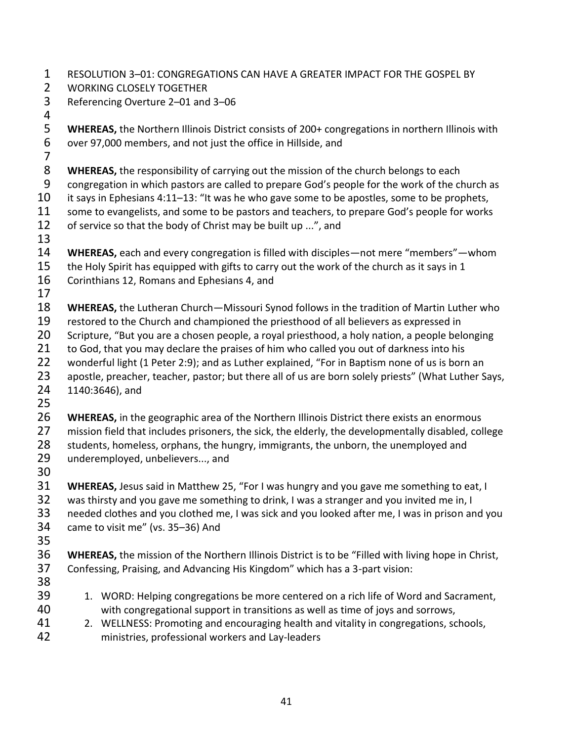- RESOLUTION 3–01: CONGREGATIONS CAN HAVE A GREATER IMPACT FOR THE GOSPEL BY
- WORKING CLOSELY TOGETHER
- Referencing Overture 2–01 and 3–06
- 

 **WHEREAS,** the Northern Illinois District consists of 200+ congregations in northern Illinois with over 97,000 members, and not just the office in Hillside, and

**WHEREAS,** the responsibility of carrying out the mission of the church belongs to each

congregation in which pastors are called to prepare God's people for the work of the church as

it says in Ephesians 4:11–13: "It was he who gave some to be apostles, some to be prophets,

11 some to evangelists, and some to be pastors and teachers, to prepare God's people for works of service so that the body of Christ may be built up ...", and

- 
- **WHEREAS,** each and every congregation is filled with disciples—not mere "members"—whom
- 15 the Holy Spirit has equipped with gifts to carry out the work of the church as it says in 1
- Corinthians 12, Romans and Ephesians 4, and
- 

**WHEREAS,** the Lutheran Church—Missouri Synod follows in the tradition of Martin Luther who

- restored to the Church and championed the priesthood of all believers as expressed in
- Scripture, "But you are a chosen people, a royal priesthood, a holy nation, a people belonging
- 21 to God, that you may declare the praises of him who called you out of darkness into his
- wonderful light (1 Peter 2:9); and as Luther explained, "For in Baptism none of us is born an
- 23 apostle, preacher, teacher, pastor; but there all of us are born solely priests" (What Luther Says,
- 1140:3646), and
- 
- **WHEREAS,** in the geographic area of the Northern Illinois District there exists an enormous 27 mission field that includes prisoners, the sick, the elderly, the developmentally disabled, college 28 students, homeless, orphans, the hungry, immigrants, the unborn, the unemployed and
- underemployed, unbelievers..., and
- 

 **WHEREAS,** Jesus said in Matthew 25, "For I was hungry and you gave me something to eat, I 32 was thirsty and you gave me something to drink, I was a stranger and you invited me in, I

- needed clothes and you clothed me, I was sick and you looked after me, I was in prison and you
- came to visit me" (vs. 35–36) And
- 

 **WHEREAS,** the mission of the Northern Illinois District is to be "Filled with living hope in Christ, Confessing, Praising, and Advancing His Kingdom" which has a 3-part vision:

- 
- 39 1. WORD: Helping congregations be more centered on a rich life of Word and Sacrament, with congregational support in transitions as well as time of joys and sorrows,
- 2. WELLNESS: Promoting and encouraging health and vitality in congregations, schools, ministries, professional workers and Lay-leaders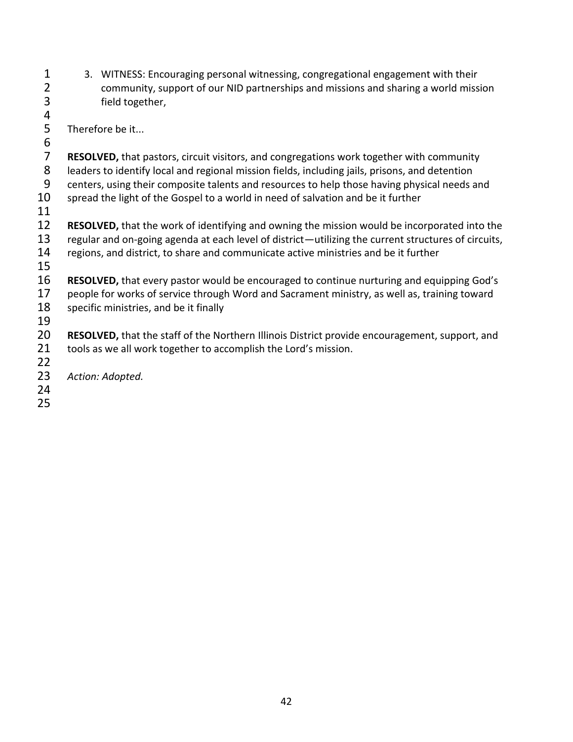- 3. WITNESS: Encouraging personal witnessing, congregational engagement with their 2 community, support of our NID partnerships and missions and sharing a world mission<br>3 field together, field together,
- 4<br>5 Therefore be it...
- 6<br>7 7 **RESOLVED,** that pastors, circuit visitors, and congregations work together with community<br>8 leaders to identify local and regional mission fields, including jails, prisons, and detention
- leaders to identify local and regional mission fields, including jails, prisons, and detention
- centers, using their composite talents and resources to help those having physical needs and 10 spread the light of the Gospel to a world in need of salvation and be it further
- 
- **RESOLVED,** that the work of identifying and owning the mission would be incorporated into the regular and on-going agenda at each level of district—utilizing the current structures of circuits, regions, and district, to share and communicate active ministries and be it further
- 
- **RESOLVED,** that every pastor would be encouraged to continue nurturing and equipping God's 17 people for works of service through Word and Sacrament ministry, as well as, training toward specific ministries, and be it finally
- **RESOLVED,** that the staff of the Northern Illinois District provide encouragement, support, and 21 tools as we all work together to accomplish the Lord's mission.
- 

- *Action: Adopted.*
- 
-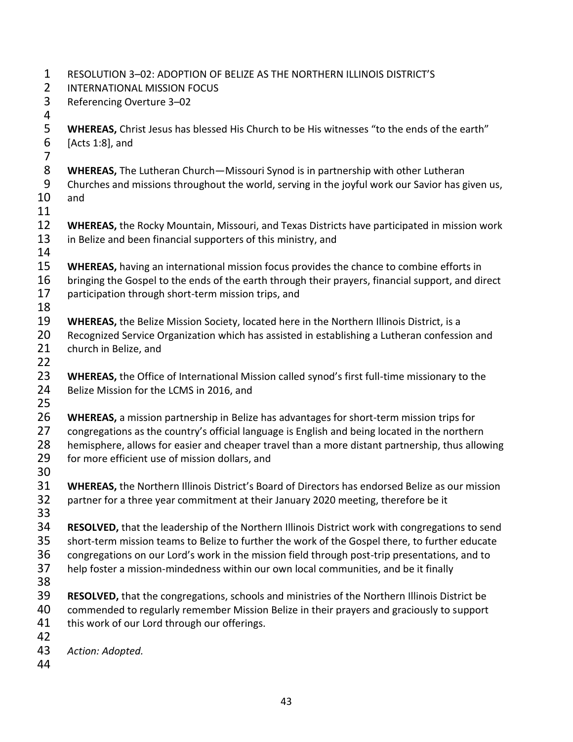| 1                          | RESOLUTION 3-02: ADOPTION OF BELIZE AS THE NORTHERN ILLINOIS DISTRICT'S                                                                                                                                                                                                                                                                                                                    |
|----------------------------|--------------------------------------------------------------------------------------------------------------------------------------------------------------------------------------------------------------------------------------------------------------------------------------------------------------------------------------------------------------------------------------------|
| $\overline{2}$             | <b>INTERNATIONAL MISSION FOCUS</b>                                                                                                                                                                                                                                                                                                                                                         |
| 3<br>4                     | Referencing Overture 3-02                                                                                                                                                                                                                                                                                                                                                                  |
| 5<br>6<br>$\overline{7}$   | <b>WHEREAS, Christ Jesus has blessed His Church to be His witnesses "to the ends of the earth"</b><br>[Acts 1:8], and                                                                                                                                                                                                                                                                      |
| 8<br>9<br>10<br>11         | <b>WHEREAS, The Lutheran Church-Missouri Synod is in partnership with other Lutheran</b><br>Churches and missions throughout the world, serving in the joyful work our Savior has given us,<br>and                                                                                                                                                                                         |
| 12<br>13<br>14             | <b>WHEREAS, the Rocky Mountain, Missouri, and Texas Districts have participated in mission work</b><br>in Belize and been financial supporters of this ministry, and                                                                                                                                                                                                                       |
| 15<br>16<br>17<br>18       | WHEREAS, having an international mission focus provides the chance to combine efforts in<br>bringing the Gospel to the ends of the earth through their prayers, financial support, and direct<br>participation through short-term mission trips, and                                                                                                                                       |
| 19<br>20<br>21<br>22       | <b>WHEREAS, the Belize Mission Society, located here in the Northern Illinois District, is a</b><br>Recognized Service Organization which has assisted in establishing a Lutheran confession and<br>church in Belize, and                                                                                                                                                                  |
| 23<br>24<br>25             | WHEREAS, the Office of International Mission called synod's first full-time missionary to the<br>Belize Mission for the LCMS in 2016, and                                                                                                                                                                                                                                                  |
| 26<br>27<br>28<br>29<br>30 | WHEREAS, a mission partnership in Belize has advantages for short-term mission trips for<br>congregations as the country's official language is English and being located in the northern<br>hemisphere, allows for easier and cheaper travel than a more distant partnership, thus allowing<br>for more efficient use of mission dollars, and                                             |
| 31<br>32<br>33             | <b>WHEREAS, the Northern Illinois District's Board of Directors has endorsed Belize as our mission</b><br>partner for a three year commitment at their January 2020 meeting, therefore be it                                                                                                                                                                                               |
| 34<br>35<br>36<br>37<br>38 | RESOLVED, that the leadership of the Northern Illinois District work with congregations to send<br>short-term mission teams to Belize to further the work of the Gospel there, to further educate<br>congregations on our Lord's work in the mission field through post-trip presentations, and to<br>help foster a mission-mindedness within our own local communities, and be it finally |
| 39<br>40<br>41<br>42       | <b>RESOLVED, that the congregations, schools and ministries of the Northern Illinois District be</b><br>commended to regularly remember Mission Belize in their prayers and graciously to support<br>this work of our Lord through our offerings.                                                                                                                                          |
| 43<br>44                   | Action: Adopted.                                                                                                                                                                                                                                                                                                                                                                           |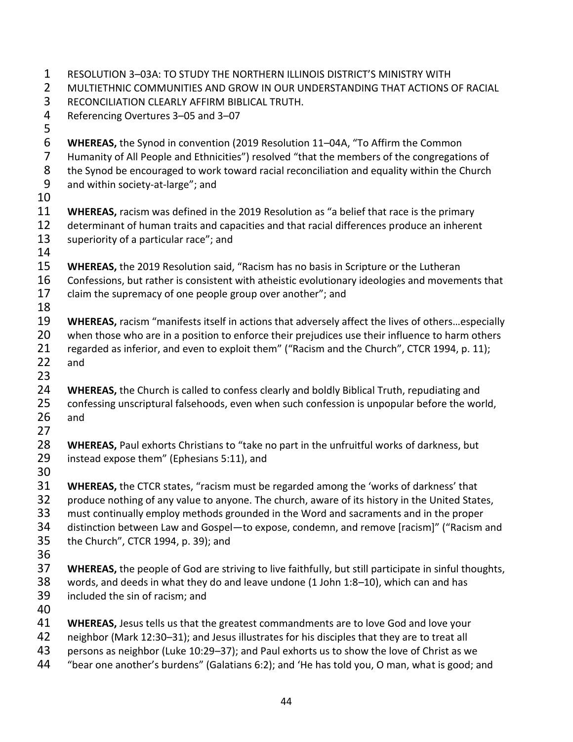- RESOLUTION 3–03A: TO STUDY THE NORTHERN ILLINOIS DISTRICT'S MINISTRY WITH MULTIETHNIC COMMUNITIES AND GROW IN OUR UNDERSTANDING THAT ACTIONS OF RACIAL RECONCILIATION CLEARLY AFFIRM BIBLICAL TRUTH. Referencing Overtures 3–05 and 3–07 **WHEREAS,** the Synod in convention (2019 Resolution 11–04A, "To Affirm the Common 7 Humanity of All People and Ethnicities") resolved "that the members of the congregations of<br>8 the Synod be encouraged to work toward racial reconciliation and equality within the Church the Synod be encouraged to work toward racial reconciliation and equality within the Church and within society-at-large"; and **11 WHEREAS,** racism was defined in the 2019 Resolution as "a belief that race is the primary<br>12 determinant of human traits and capacities and that racial differences produce an inheren determinant of human traits and capacities and that racial differences produce an inherent 13 superiority of a particular race"; and **WHEREAS,** the 2019 Resolution said, "Racism has no basis in Scripture or the Lutheran 16 Confessions, but rather is consistent with atheistic evolutionary ideologies and movements that claim the supremacy of one people group over another"; and **WHEREAS,** racism "manifests itself in actions that adversely affect the lives of others…especially 20 when those who are in a position to enforce their prejudices use their influence to harm others regarded as inferior, and even to exploit them" ("Racism and the Church", CTCR 1994, p. 11); and **WHEREAS,** the Church is called to confess clearly and boldly Biblical Truth, repudiating and confessing unscriptural falsehoods, even when such confession is unpopular before the world, and **WHEREAS,** Paul exhorts Christians to "take no part in the unfruitful works of darkness, but instead expose them" (Ephesians 5:11), and **WHEREAS,** the CTCR states, "racism must be regarded among the 'works of darkness' that produce nothing of any value to anyone. The church, aware of its history in the United States, must continually employ methods grounded in the Word and sacraments and in the proper distinction between Law and Gospel—to expose, condemn, and remove [racism]" ("Racism and the Church", CTCR 1994, p. 39); and **WHEREAS,** the people of God are striving to live faithfully, but still participate in sinful thoughts, words, and deeds in what they do and leave undone (1 John 1:8–10), which can and has included the sin of racism; and **WHEREAS,** Jesus tells us that the greatest commandments are to love God and love your neighbor (Mark 12:30–31); and Jesus illustrates for his disciples that they are to treat all persons as neighbor (Luke 10:29–37); and Paul exhorts us to show the love of Christ as we
- "bear one another's burdens" (Galatians 6:2); and 'He has told you, O man, what is good; and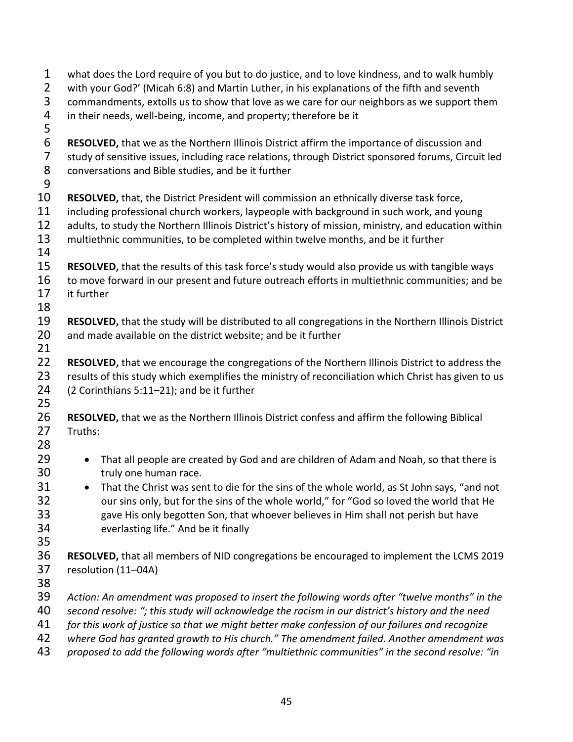| $\mathbf 1$    | what does the Lord require of you but to do justice, and to love kindness, and to walk humbly                                                                                                   |
|----------------|-------------------------------------------------------------------------------------------------------------------------------------------------------------------------------------------------|
| $\overline{2}$ | with your God?' (Micah 6:8) and Martin Luther, in his explanations of the fifth and seventh                                                                                                     |
| 3              | commandments, extolls us to show that love as we care for our neighbors as we support them                                                                                                      |
| 4              | in their needs, well-being, income, and property; therefore be it                                                                                                                               |
| 5              |                                                                                                                                                                                                 |
| 6              | <b>RESOLVED, that we as the Northern Illinois District affirm the importance of discussion and</b>                                                                                              |
| $\overline{7}$ | study of sensitive issues, including race relations, through District sponsored forums, Circuit led                                                                                             |
| 8              | conversations and Bible studies, and be it further                                                                                                                                              |
| 9              |                                                                                                                                                                                                 |
| 10             | RESOLVED, that, the District President will commission an ethnically diverse task force,                                                                                                        |
| 11             | including professional church workers, laypeople with background in such work, and young                                                                                                        |
| 12             | adults, to study the Northern Illinois District's history of mission, ministry, and education within                                                                                            |
| 13             | multiethnic communities, to be completed within twelve months, and be it further                                                                                                                |
| 14             |                                                                                                                                                                                                 |
| 15<br>16       | RESOLVED, that the results of this task force's study would also provide us with tangible ways<br>to move forward in our present and future outreach efforts in multiethnic communities; and be |
| 17             | it further                                                                                                                                                                                      |
| 18             |                                                                                                                                                                                                 |
| 19             |                                                                                                                                                                                                 |
| 20             | RESOLVED, that the study will be distributed to all congregations in the Northern Illinois District<br>and made available on the district website; and be it further                            |
| 21             |                                                                                                                                                                                                 |
| 22             | RESOLVED, that we encourage the congregations of the Northern Illinois District to address the                                                                                                  |
| 23             | results of this study which exemplifies the ministry of reconciliation which Christ has given to us                                                                                             |
| 24             | (2 Corinthians 5:11-21); and be it further                                                                                                                                                      |
| 25             |                                                                                                                                                                                                 |
| 26             | RESOLVED, that we as the Northern Illinois District confess and affirm the following Biblical                                                                                                   |
| 27             | Truths:                                                                                                                                                                                         |
| 28             |                                                                                                                                                                                                 |
| 29             | That all people are created by God and are children of Adam and Noah, so that there is<br>$\bullet$                                                                                             |
| 30             | truly one human race.                                                                                                                                                                           |
| 31             | That the Christ was sent to die for the sins of the whole world, as St John says, "and not                                                                                                      |
| 32             | our sins only, but for the sins of the whole world," for "God so loved the world that He                                                                                                        |
| 33             | gave His only begotten Son, that whoever believes in Him shall not perish but have                                                                                                              |
| 34             | everlasting life." And be it finally                                                                                                                                                            |
| 35             |                                                                                                                                                                                                 |
| 36             | RESOLVED, that all members of NID congregations be encouraged to implement the LCMS 2019                                                                                                        |
| 37             | resolution (11-04A)                                                                                                                                                                             |
| 38             |                                                                                                                                                                                                 |
| 39             | Action: An amendment was proposed to insert the following words after "twelve months" in the                                                                                                    |
| 40             | second resolve: "; this study will acknowledge the racism in our district's history and the need                                                                                                |
| 41             | for this work of justice so that we might better make confession of our failures and recognize                                                                                                  |
| 42             | where God has granted growth to His church." The amendment failed. Another amendment was                                                                                                        |
| 1 <sup>2</sup> | anoced to add the following words after "multiathnic communities" in the cocond resolver "in                                                                                                    |

*proposed to add the following words after "multiethnic communities" in the second resolve: "in*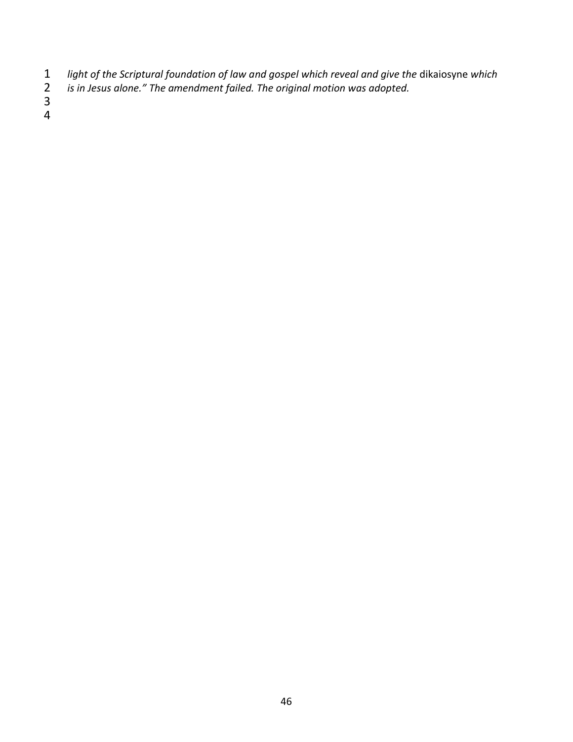- *light of the Scriptural foundation of law and gospel which reveal and give the* dikaiosyne *which*
- *is in Jesus alone." The amendment failed. The original motion was adopted.*  $\frac{2}{3}$